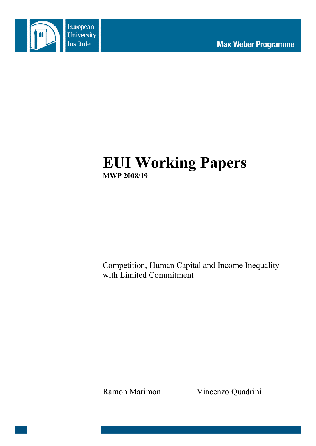

# **EUI Working Papers MWP 2008/19**

Competition, Human Capital and Income Inequality with Limited Commitment

Ramon Marimon Vincenzo Quadrini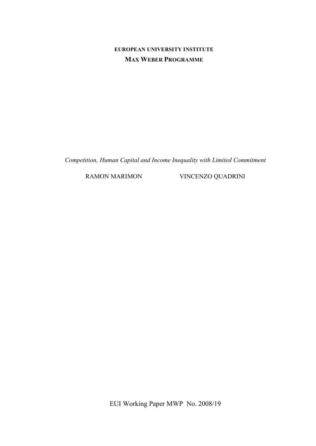## **EUROPEAN UNIVERSITY INSTITUTE MAX WEBER PROGRAMME**

*Competition, Human Capital and Income Inequality with Limited Commitment*

RAMON MARIMON VINCENZO QUADRINI

EUI Working Paper MWP No. 2008/19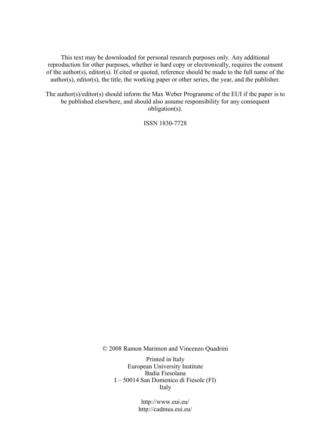This text may be downloaded for personal research purposes only. Any additional reproduction for other purposes, whether in hard copy or electronically, requires the consent of the author(s), editor(s). If cited or quoted, reference should be made to the full name of the author(s), editor(s), the title, the working paper or other series, the year, and the publisher.

The author(s)/editor(s) should inform the Max Weber Programme of the EUI if the paper is to be published elsewhere, and should also assume responsibility for any consequent obligation(s).

ISSN 1830-7728

© 2008 Ramon Marimon and Vincenzo Quadrini

Printed in Italy European University Institute Badia Fiesolana I – 50014 San Domenico di Fiesole (FI) Italy

> http://www.eui.eu/ http://cadmus.eui.eu/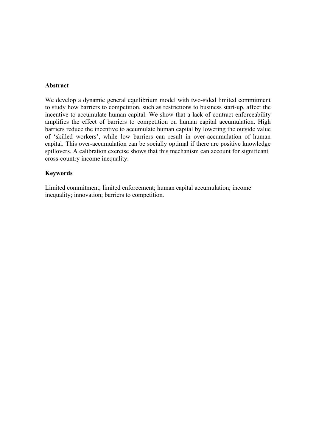### **Abstract**

We develop a dynamic general equilibrium model with two-sided limited commitment to study how barriers to competition, such as restrictions to business start-up, affect the incentive to accumulate human capital. We show that a lack of contract enforceability amplifies the effect of barriers to competition on human capital accumulation. High barriers reduce the incentive to accumulate human capital by lowering the outside value of 'skilled workers', while low barriers can result in over-accumulation of human capital. This over-accumulation can be socially optimal if there are positive knowledge spillovers. A calibration exercise shows that this mechanism can account for significant cross-country income inequality.

### **Keywords**

Limited commitment; limited enforcement; human capital accumulation; income inequality; innovation; barriers to competition.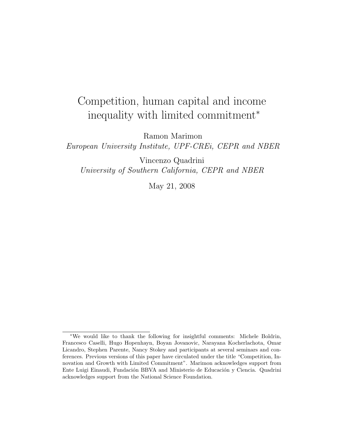# Competition, human capital and income inequality with limited commitment<sup>∗</sup>

Ramon Marimon

European University Institute, UPF-CREi, CEPR and NBER

Vincenzo Quadrini University of Southern California, CEPR and NBER

May 21, 2008

<sup>∗</sup>We would like to thank the following for insightful comments: Michele Boldrin, Francesco Caselli, Hugo Hopenhayn, Boyan Jovanovic, Narayana Kocherlachota, Omar Licandro, Stephen Parente, Nancy Stokey and participants at several seminars and conferences. Previous versions of this paper have circulated under the title "Competition, Innovation and Growth with Limited Commitment". Marimon acknowledges support from Ente Luigi Einaudi, Fundación BBVA and Ministerio de Educación y Ciencia. Quadrini acknowledges support from the National Science Foundation.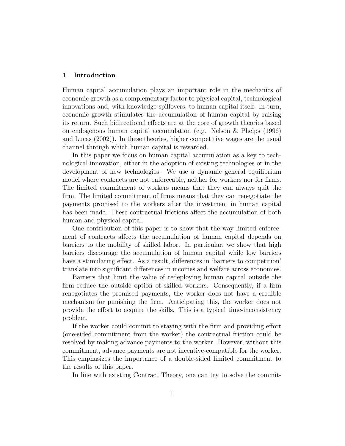#### 1 Introduction

Human capital accumulation plays an important role in the mechanics of economic growth as a complementary factor to physical capital, technological innovations and, with knowledge spillovers, to human capital itself. In turn, economic growth stimulates the accumulation of human capital by raising its return. Such bidirectional effects are at the core of growth theories based on endogenous human capital accumulation (e.g. Nelson & Phelps (1996) and Lucas (2002)). In these theories, higher competitive wages are the usual channel through which human capital is rewarded.

In this paper we focus on human capital accumulation as a key to technological innovation, either in the adoption of existing technologies or in the development of new technologies. We use a dynamic general equilibrium model where contracts are not enforceable, neither for workers nor for firms. The limited commitment of workers means that they can always quit the firm. The limited commitment of firms means that they can renegotiate the payments promised to the workers after the investment in human capital has been made. These contractual frictions affect the accumulation of both human and physical capital.

One contribution of this paper is to show that the way limited enforcement of contracts affects the accumulation of human capital depends on barriers to the mobility of skilled labor. In particular, we show that high barriers discourage the accumulation of human capital while low barriers have a stimulating effect. As a result, differences in 'barriers to competition' translate into significant differences in incomes and welfare across economies.

Barriers that limit the value of redeploying human capital outside the firm reduce the outside option of skilled workers. Consequently, if a firm renegotiates the promised payments, the worker does not have a credible mechanism for punishing the firm. Anticipating this, the worker does not provide the effort to acquire the skills. This is a typical time-inconsistency problem.

If the worker could commit to staying with the firm and providing effort (one-sided commitment from the worker) the contractual friction could be resolved by making advance payments to the worker. However, without this commitment, advance payments are not incentive-compatible for the worker. This emphasizes the importance of a double-sided limited commitment to the results of this paper.

In line with existing Contract Theory, one can try to solve the commit-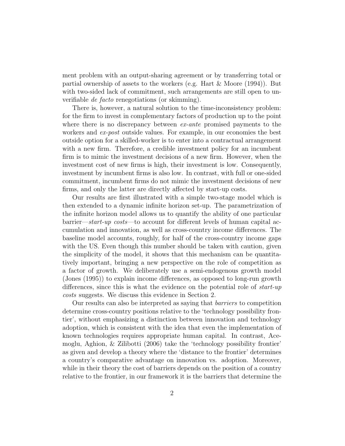ment problem with an output-sharing agreement or by transferring total or partial ownership of assets to the workers (e.g. Hart & Moore (1994)). But with two-sided lack of commitment, such arrangements are still open to unverifiable de facto renegotiations (or skimming).

There is, however, a natural solution to the time-inconsistency problem: for the firm to invest in complementary factors of production up to the point where there is no discrepancy between *ex-ante* promised payments to the workers and ex-post outside values. For example, in our economies the best outside option for a skilled-worker is to enter into a contractual arrangement with a new firm. Therefore, a credible investment policy for an incumbent firm is to mimic the investment decisions of a new firm. However, when the investment cost of new firms is high, their investment is low. Consequently, investment by incumbent firms is also low. In contrast, with full or one-sided commitment, incumbent firms do not mimic the investment decisions of new firms, and only the latter are directly affected by start-up costs.

Our results are first illustrated with a simple two-stage model which is then extended to a dynamic infinite horizon set-up. The parametrization of the infinite horizon model allows us to quantify the ability of one particular barrier—start-up costs—to account for different levels of human capital accumulation and innovation, as well as cross-country income differences. The baseline model accounts, roughly, for half of the cross-country income gaps with the US. Even though this number should be taken with caution, given the simplicity of the model, it shows that this mechanism can be quantitatively important, bringing a new perspective on the role of competition as a factor of growth. We deliberately use a semi-endogenous growth model (Jones (1995)) to explain income differences, as opposed to long-run growth differences, since this is what the evidence on the potential role of start-up costs suggests. We discuss this evidence in Section 2.

Our results can also be interpreted as saying that barriers to competition determine cross-country positions relative to the 'technology possibility frontier', without emphasizing a distinction between innovation and technology adoption, which is consistent with the idea that even the implementation of known technologies requires appropriate human capital. In contrast, Acemoglu, Aghion, & Zilibotti (2006) take the 'technology possibility frontier' as given and develop a theory where the 'distance to the frontier' determines a country's comparative advantage on innovation vs. adoption. Moreover, while in their theory the cost of barriers depends on the position of a country relative to the frontier, in our framework it is the barriers that determine the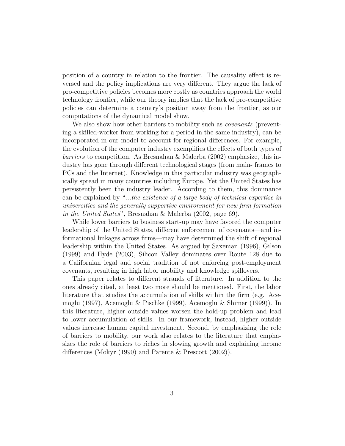position of a country in relation to the frontier. The causality effect is reversed and the policy implications are very different. They argue the lack of pro-competitive policies becomes more costly as countries approach the world technology frontier, while our theory implies that the lack of pro-competitive policies can determine a country's position away from the frontier, as our computations of the dynamical model show.

We also show how other barriers to mobility such as *covenants* (preventing a skilled-worker from working for a period in the same industry), can be incorporated in our model to account for regional differences. For example, the evolution of the computer industry exemplifies the effects of both types of barriers to competition. As Bresnahan & Malerba (2002) emphasize, this industry has gone through different technological stages (from main- frames to PCs and the Internet). Knowledge in this particular industry was geographically spread in many countries including Europe. Yet the United States has persistently been the industry leader. According to them, this dominance can be explained by "...the existence of a large body of technical expertise in universities and the generally supportive environment for new firm formation in the United States", Bresnahan & Malerba (2002, page 69).

While lower barriers to business start-up may have favored the computer leadership of the United States, different enforcement of covenants—and informational linkages across firms—may have determined the shift of regional leadership within the United States. As argued by Saxenian (1996), Gilson (1999) and Hyde (2003), Silicon Valley dominates over Route 128 due to a Californian legal and social tradition of not enforcing post-employment covenants, resulting in high labor mobility and knowledge spillovers.

This paper relates to different strands of literature. In addition to the ones already cited, at least two more should be mentioned. First, the labor literature that studies the accumulation of skills within the firm (e.g. Acemoglu (1997), Acemoglu & Pischke (1999), Acemoglu & Shimer (1999)). In this literature, higher outside values worsen the hold-up problem and lead to lower accumulation of skills. In our framework, instead, higher outside values increase human capital investment. Second, by emphasizing the role of barriers to mobility, our work also relates to the literature that emphasizes the role of barriers to riches in slowing growth and explaining income differences (Mokyr (1990) and Parente & Prescott (2002)).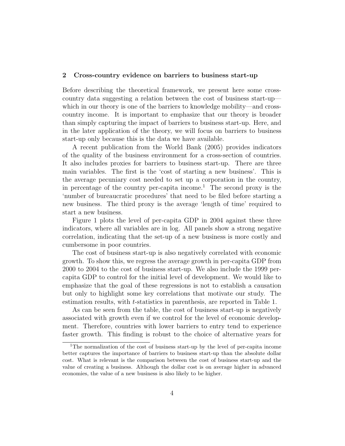#### 2 Cross-country evidence on barriers to business start-up

Before describing the theoretical framework, we present here some crosscountry data suggesting a relation between the cost of business start-up which in our theory is one of the barriers to knowledge mobility—and crosscountry income. It is important to emphasize that our theory is broader than simply capturing the impact of barriers to business start-up. Here, and in the later application of the theory, we will focus on barriers to business start-up only because this is the data we have available.

A recent publication from the World Bank (2005) provides indicators of the quality of the business environment for a cross-section of countries. It also includes proxies for barriers to business start-up. There are three main variables. The first is the 'cost of starting a new business'. This is the average pecuniary cost needed to set up a corporation in the country, in percentage of the country per-capita income.<sup>1</sup> The second proxy is the 'number of bureaucratic procedures' that need to be filed before starting a new business. The third proxy is the average 'length of time' required to start a new business.

Figure 1 plots the level of per-capita GDP in 2004 against these three indicators, where all variables are in log. All panels show a strong negative correlation, indicating that the set-up of a new business is more costly and cumbersome in poor countries.

The cost of business start-up is also negatively correlated with economic growth. To show this, we regress the average growth in per-capita GDP from 2000 to 2004 to the cost of business start-up. We also include the 1999 percapita GDP to control for the initial level of development. We would like to emphasize that the goal of these regressions is not to establish a causation but only to highlight some key correlations that motivate our study. The estimation results, with t-statistics in parenthesis, are reported in Table 1.

As can be seen from the table, the cost of business start-up is negatively associated with growth even if we control for the level of economic development. Therefore, countries with lower barriers to entry tend to experience faster growth. This finding is robust to the choice of alternative years for

<sup>1</sup>The normalization of the cost of business start-up by the level of per-capita income better captures the importance of barriers to business start-up than the absolute dollar cost. What is relevant is the comparison between the cost of business start-up and the value of creating a business. Although the dollar cost is on average higher in advanced economies, the value of a new business is also likely to be higher.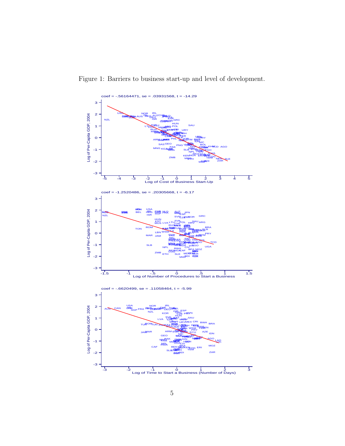Figure 1: Barriers to business start-up and level of development.

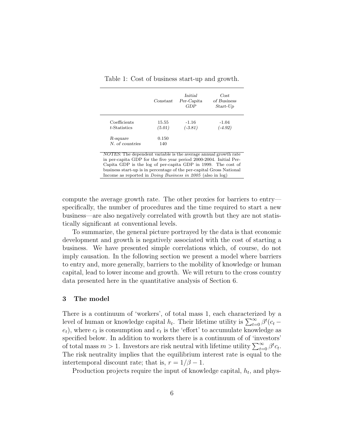|                 | Constant | Initial<br>Per-Capita<br>GDP | Cost<br>of Business<br>$Start$ - $Up$ |
|-----------------|----------|------------------------------|---------------------------------------|
| Coefficients    | 15.55    | $-1.16$                      | $-1.04$                               |
| t-Statistics    | (5.01)   | $(-3.81)$                    | $(-4.92)$                             |
| R-square        | 0.150    |                              |                                       |
| N. of countries | 140      |                              |                                       |

Table 1: Cost of business start-up and growth.

NOTES: The dependent variable is the average annual growth rate in per-capita GDP for the five year period 2000-2004. Initial Per-Capita GDP is the log of per-capita GDP in 1999. The cost of business start-up is in percentage of the per-capital Gross National Income as reported in Doing Business in 2005 (also in log)

compute the average growth rate. The other proxies for barriers to entry specifically, the number of procedures and the time required to start a new business—are also negatively correlated with growth but they are not statistically significant at conventional levels.

To summarize, the general picture portrayed by the data is that economic development and growth is negatively associated with the cost of starting a business. We have presented simple correlations which, of course, do not imply causation. In the following section we present a model where barriers to entry and, more generally, barriers to the mobility of knowledge or human capital, lead to lower income and growth. We will return to the cross country data presented here in the quantitative analysis of Section 6.

#### 3 The model

There is a continuum of 'workers', of total mass 1, each characterized by a level of human or knowledge capital  $h_t$ . Their lifetime utility is  $\sum_{t=0}^{\infty} \beta^t (c_t (e_t)$ , where  $c_t$  is consumption and  $e_t$  is the 'effort' to accumulate knowledge as specified below. In addition to workers there is a continuum of of 'investors' of total mass  $m > 1$ . Investors are risk neutral with lifetime utility  $\sum_{t=0}^{\infty} \beta^t c_t$ . The risk neutrality implies that the equilibrium interest rate is equal to the intertemporal discount rate; that is,  $r = 1/\beta - 1$ .

Production projects require the input of knowledge capital,  $h_t$ , and phys-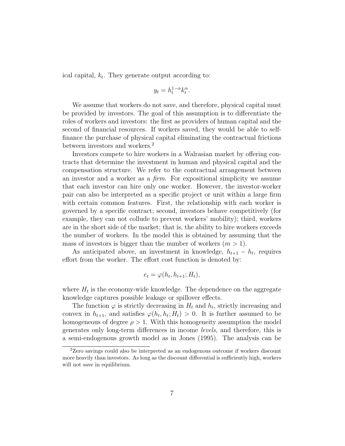ical capital,  $k_t$ . They generate output according to:

$$
y_t = h_t^{1-\alpha} k_t^{\alpha}.
$$

We assume that workers do not save, and therefore, physical capital must be provided by investors. The goal of this assumption is to differentiate the roles of workers and investors: the first as providers of human capital and the second of financial resources. If workers saved, they would be able to selffinance the purchase of physical capital eliminating the contractual frictions between investors and workers.<sup>2</sup>

Investors compete to hire workers in a Walrasian market by offering contracts that determine the investment in human and physical capital and the compensation structure. We refer to the contractual arrangement between an investor and a worker as a firm. For expositional simplicity we assume that each investor can hire only one worker. However, the investor-worker pair can also be interpreted as a specific project or unit within a large firm with certain common features. First, the relationship with each worker is governed by a specific contract; second, investors behave competitively (for example, they can not collude to prevent workers' mobility); third, workers are in the short side of the market; that is, the ability to hire workers exceeds the number of workers. In the model this is obtained by assuming that the mass of investors is bigger than the number of workers  $(m > 1)$ .

As anticipated above, an investment in knowledge,  $h_{t+1} - h_t$ , requires effort from the worker. The effort cost function is denoted by:

$$
e_t = \varphi(h_t, h_{t+1}; H_t),
$$

where  $H_t$  is the economy-wide knowledge. The dependence on the aggregate knowledge captures possible leakage or spillover effects.

The function  $\varphi$  is strictly decreasing in  $H_t$  and  $h_t$ , strictly increasing and convex in  $h_{t+1}$ , and satisfies  $\varphi(h_t, h_t; H_t) > 0$ . It is further assumed to be homogeneous of degree  $\rho > 1$ . With this homogeneity assumption the model generates only long-term differences in income levels, and therefore, this is a semi-endogenous growth model as in Jones (1995). The analysis can be

<sup>2</sup>Zero savings could also be interpreted as an endogenous outcome if workers discount more heavily than investors. As long as the discount differential is sufficiently high, workers will not save in equilibrium.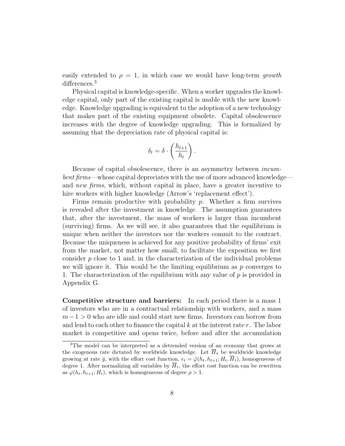easily extended to  $\rho = 1$ , in which case we would have long-term growth differences.<sup>3</sup>

Physical capital is knowledge-specific. When a worker upgrades the knowledge capital, only part of the existing capital is usable with the new knowledge. Knowledge upgrading is equivalent to the adoption of a new technology that makes part of the existing equipment obsolete. Capital obsolescence increases with the degree of knowledge upgrading. This is formalized by assuming that the depreciation rate of physical capital is:

$$
\delta_t = \delta \cdot \left(\frac{h_{t+1}}{h_t}\right).
$$

Because of capital obsolescence, there is an asymmetry between incumbent firms—whose capital depreciates with the use of more advanced knowledge and new firms, which, without capital in place, have a greater incentive to hire workers with higher knowledge (Arrow's 'replacement effect').

Firms remain productive with probability  $p$ . Whether a firm survives is revealed after the investment in knowledge. The assumption guarantees that, after the investment, the mass of workers is larger than incumbent (surviving) firms. As we will see, it also guarantees that the equilibrium is unique when neither the investors nor the workers commit to the contract. Because the uniqueness is achieved for any positive probability of firms' exit from the market, not matter how small, to facilitate the exposition we first consider  $p$  close to 1 and, in the characterization of the individual problems we will ignore it. This would be the limiting equilibrium as  $p$  converges to 1. The characterization of the equilibrium with any value of p is provided in Appendix G.

Competitive structure and barriers: In each period there is a mass 1 of investors who are in a contractual relationship with workers, and a mass  $m-1 > 0$  who are idle and could start new firms. Investors can borrow from and lend to each other to finance the capital  $k$  at the interest rate  $r$ . The labor market is competitive and opens twice, before and after the accumulation

<sup>3</sup>The model can be interpreted as a detrended version of an economy that grows at the exogenous rate dictated by worldwide knowledge. Let  $\overline{H}_t$  be worldwide knowledge growing at rate  $\bar{g}$ , with the effort cost function,  $e_t = \tilde{\varphi}(h_t, h_{t+1}; H_t, \overline{H}_t)$ , homogeneous of degree 1. After normalizing all variables by  $\overline{H}_t$ , the effort cost function can be rewritten as  $\varphi(h_t, h_{t+1}; H_t)$ , which is homogeneous of degree  $\rho > 1$ .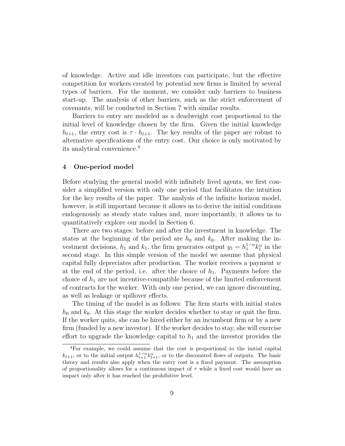of knowledge. Active and idle investors can participate, but the effective competition for workers created by potential new firms is limited by several types of barriers. For the moment, we consider only barriers to business start-up. The analysis of other barriers, such as the strict enforcement of covenants, will be conducted in Section 7 with similar results.

Barriers to entry are modeled as a deadweight cost proportional to the initial level of knowledge chosen by the firm. Given the initial knowledge  $h_{t+1}$ , the entry cost is  $\tau \cdot h_{t+1}$ . The key results of the paper are robust to alternative specifications of the entry cost. Our choice is only motivated by its analytical convenience.<sup>4</sup>

#### 4 One-period model

Before studying the general model with infinitely lived agents, we first consider a simplified version with only one period that facilitates the intuition for the key results of the paper. The analysis of the infinite horizon model, however, is still important because it allows us to derive the initial conditions endogenously as steady state values and, more importantly, it allows us to quantitatively explore our model in Section 6.

There are two stages: before and after the investment in knowledge. The states at the beginning of the period are  $h_0$  and  $k_0$ . After making the investment decisions,  $h_1$  and  $k_1$ , the firm generates output  $y_1 = h_1^{1-\alpha} k_1^{\alpha}$  in the second stage. In this simple version of the model we assume that physical capital fully depreciates after production. The worker receives a payment  $w$ at the end of the period, i.e. after the choice of  $h_1$ . Payments before the choice of  $h_1$  are not incentive-compatible because of the limited enforcement of contracts for the worker. With only one period, we can ignore discounting, as well as leakage or spillover effects.

The timing of the model is as follows: The firm starts with initial states  $h_0$  and  $k_0$ . At this stage the worker decides whether to stay or quit the firm. If the worker quits, she can be hired either by an incumbent firm or by a new firm (funded by a new investor). If the worker decides to stay, she will exercise effort to upgrade the knowledge capital to  $h_1$  and the investor provides the

<sup>4</sup>For example, we could assume that the cost is proportional to the initial capital  $k_{t+1}$ , or to the initial output  $h_{t+1}^{1-\alpha} k_{t+1}^{\alpha}$ , or to the discounted flows of outputs. The basic theory and results also apply when the entry cost is a fixed payment. The assumption of proportionality allows for a continuous impact of  $\tau$  while a fixed cost would have an impact only after it has reached the prohibitive level.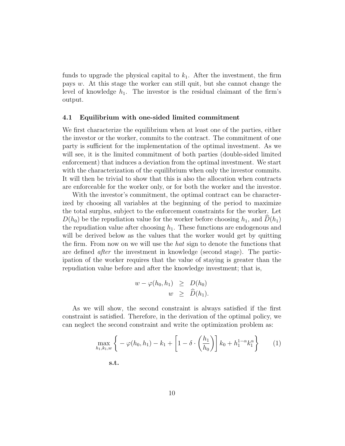funds to upgrade the physical capital to  $k_1$ . After the investment, the firm pays w. At this stage the worker can still quit, but she cannot change the level of knowledge  $h_1$ . The investor is the residual claimant of the firm's output.

#### 4.1 Equilibrium with one-sided limited commitment

We first characterize the equilibrium when at least one of the parties, either the investor or the worker, commits to the contract. The commitment of one party is sufficient for the implementation of the optimal investment. As we will see, it is the limited commitment of both parties (double-sided limited enforcement) that induces a deviation from the optimal investment. We start with the characterization of the equilibrium when only the investor commits. It will then be trivial to show that this is also the allocation when contracts are enforceable for the worker only, or for both the worker and the investor.

With the investor's commitment, the optimal contract can be characterized by choosing all variables at the beginning of the period to maximize the total surplus, subject to the enforcement constraints for the worker. Let  $D(h_0)$  be the repudiation value for the worker before choosing  $h_1$ , and  $D(h_1)$ the repudiation value after choosing  $h_1$ . These functions are endogenous and will be derived below as the values that the worker would get by quitting the firm. From now on we will use the *hat* sign to denote the functions that are defined after the investment in knowledge (second stage). The participation of the worker requires that the value of staying is greater than the repudiation value before and after the knowledge investment; that is,

$$
w - \varphi(h_0, h_1) \geq D(h_0)
$$
  

$$
w \geq \widehat{D}(h_1).
$$

As we will show, the second constraint is always satisfied if the first constraint is satisfied. Therefore, in the derivation of the optimal policy, we can neglect the second constraint and write the optimization problem as:

$$
\max_{h_1, k_1, w} \left\{ -\varphi(h_0, h_1) - k_1 + \left[ 1 - \delta \cdot \left( \frac{h_1}{h_0} \right) \right] k_0 + h_1^{1-\alpha} k_1^{\alpha} \right\} \tag{1}
$$

s.t.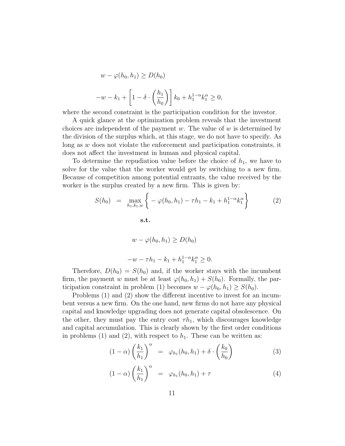$$
w - \varphi(h_0, h_1) \ge D(h_0)
$$
  

$$
-w - k_1 + \left[1 - \delta \cdot \left(\frac{h_1}{h_0}\right)\right] k_0 + h_1^{1-\alpha} k_1^{\alpha} \ge 0,
$$

where the second constraint is the participation condition for the investor.

A quick glance at the optimization problem reveals that the investment choices are independent of the payment  $w$ . The value of  $w$  is determined by the division of the surplus which, at this stage, we do not have to specify. As long as w does not violate the enforcement and participation constraints, it does not affect the investment in human and physical capital.

To determine the repudiation value before the choice of  $h_1$ , we have to solve for the value that the worker would get by switching to a new firm. Because of competition among potential entrants, the value received by the worker is the surplus created by a new firm. This is given by:

$$
S(h_0) = \max_{h_1, k_1, w} \left\{ -\varphi(h_0, h_1) - \tau h_1 - k_1 + h_1^{1-\alpha} k_1^{\alpha} \right\}
$$
  
s.t.  

$$
w - \varphi(h_0, h_1) \ge D(h_0)
$$

$$
-w - \tau h_1 - k_1 + h_1^{1-\alpha} k_1^{\alpha} \ge 0.
$$

$$
(2)
$$

Therefore,  $D(h_0) = S(h_0)$  and, if the worker stays with the incumbent firm, the payment w must be at least  $\varphi(h_0, h_1) + S(h_0)$ . Formally, the participation constraint in problem (1) becomes  $w - \varphi(h_0, h_1) \geq S(h_0)$ .

Problems (1) and (2) show the different incentive to invest for an incumbent versus a new firm. On the one hand, new firms do not have any physical capital and knowledge upgrading does not generate capital obsolescence. On the other, they must pay the entry cost  $\tau h_1$ , which discourages knowledge and capital accumulation. This is clearly shown by the first order conditions in problems (1) and (2), with respect to  $h_1$ . These can be written as:

$$
(1 - \alpha) \left(\frac{k_1}{h_1}\right)^{\alpha} = \varphi_{h_1}(h_0, h_1) + \delta \cdot \left(\frac{k_0}{h_0}\right)
$$
 (3)

$$
(1 - \alpha) \left(\frac{k_1}{h_1}\right)^{\alpha} = \varphi_{h_1}(h_0, h_1) + \tau \tag{4}
$$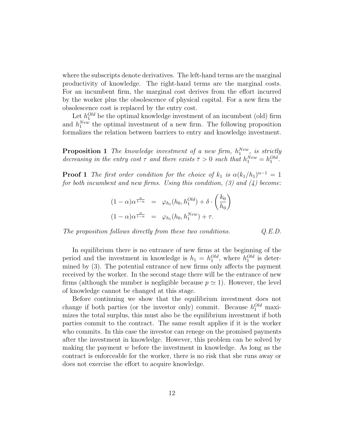where the subscripts denote derivatives. The left-hand terms are the marginal productivity of knowledge. The right-hand terms are the marginal costs. For an incumbent firm, the marginal cost derives from the effort incurred by the worker plus the obsolescence of physical capital. For a new firm the obsolescence cost is replaced by the entry cost.

Let  $h_1^{Old}$  be the optimal knowledge investment of an incumbent (old) firm and  $h_1^{New}$  the optimal investment of a new firm. The following proposition formalizes the relation between barriers to entry and knowledge investment.

**Proposition 1** The knowledge investment of a new firm,  $h_1^{New}$ , is strictly decreasing in the entry cost  $\tau$  and there exists  $\bar{\tau} > 0$  such that  $h_1^{New} = h_1^{Old}$ .

**Proof 1** The first order condition for the choice of  $k_1$  is  $\alpha (k_1/h_1)^{\alpha-1} = 1$ for both incumbent and new firms. Using this condition,  $(3)$  and  $(4)$  become:

$$
(1 - \alpha)\alpha^{\frac{\alpha}{1 - \alpha}} = \varphi_{h_1}(h_0, h_1^{Old}) + \delta \cdot \left(\frac{k_0}{h_0}\right)
$$

$$
(1 - \alpha)\alpha^{\frac{\alpha}{1 - \alpha}} = \varphi_{h_1}(h_0, h_1^{New}) + \tau.
$$

The proposition follows directly from these two conditions.  $Q.E.D.$ 

In equilibrium there is no entrance of new firms at the beginning of the period and the investment in knowledge is  $h_1 = h_1^{Old}$ , where  $h_1^{Old}$  is determined by (3). The potential entrance of new firms only affects the payment received by the worker. In the second stage there will be the entrance of new firms (although the number is negligible because  $p \simeq 1$ ). However, the level of knowledge cannot be changed at this stage.

Before continuing we show that the equilibrium investment does not change if both parties (or the investor only) commit. Because  $h_1^{Old}$  maximizes the total surplus, this must also be the equilibrium investment if both parties commit to the contract. The same result applies if it is the worker who commits. In this case the investor can renege on the promised payments after the investment in knowledge. However, this problem can be solved by making the payment  $w$  before the investment in knowledge. As long as the contract is enforceable for the worker, there is no risk that she runs away or does not exercise the effort to acquire knowledge.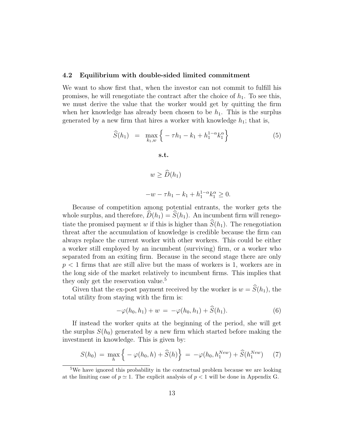#### 4.2 Equilibrium with double-sided limited commitment

We want to show first that, when the investor can not commit to fulfill his promises, he will renegotiate the contract after the choice of  $h_1$ . To see this, we must derive the value that the worker would get by quitting the firm when her knowledge has already been chosen to be  $h_1$ . This is the surplus generated by a new firm that hires a worker with knowledge  $h_1$ ; that is,

$$
\widehat{S}(h_1) = \max_{k_1, w} \left\{ -\tau h_1 - k_1 + h_1^{1-\alpha} k_1^{\alpha} \right\}
$$
\n
$$
\text{s.t.}
$$
\n
$$
w \ge \widehat{D}(h_1)
$$
\n
$$
-w - \tau h_1 - k_1 + h_1^{1-\alpha} k_1^{\alpha} \ge 0.
$$
\n(5)

Because of competition among potential entrants, the worker gets the whole surplus, and therefore,  $\widehat{D}(h_1) = \widehat{S}(h_1)$ . An incumbent firm will renegotiate the promised payment w if this is higher than  $\widehat{S}(h_1)$ . The renegotiation threat after the accumulation of knowledge is credible because the firm can always replace the current worker with other workers. This could be either a worker still employed by an incumbent (surviving) firm, or a worker who separated from an exiting firm. Because in the second stage there are only  $p < 1$  firms that are still alive but the mass of workers is 1, workers are in the long side of the market relatively to incumbent firms. This implies that they only get the reservation value.<sup>5</sup>

Given that the ex-post payment received by the worker is  $w = \hat{S}(h_1)$ , the total utility from staying with the firm is:

$$
-\varphi(h_0, h_1) + w = -\varphi(h_0, h_1) + \widehat{S}(h_1).
$$
 (6)

If instead the worker quits at the beginning of the period, she will get the surplus  $S(h_0)$  generated by a new firm which started before making the investment in knowledge. This is given by:

$$
S(h_0) = \max_{h} \left\{ -\varphi(h_0, h) + \widehat{S}(h) \right\} = -\varphi(h_0, h_1^{New}) + \widehat{S}(h_1^{New}) \tag{7}
$$

<sup>&</sup>lt;sup>5</sup>We have ignored this probability in the contractual problem because we are looking at the limiting case of  $p \simeq 1$ . The explicit analysis of  $p < 1$  will be done in Appendix G.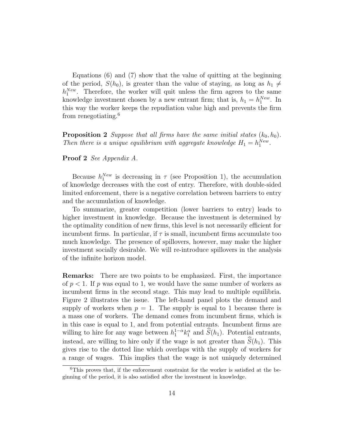Equations  $(6)$  and  $(7)$  show that the value of quitting at the beginning of the period,  $S(h_0)$ , is greater than the value of staying, as long as  $h_1 \neq$  $h_1^{New}$ . Therefore, the worker will quit unless the firm agrees to the same knowledge investment chosen by a new entrant firm; that is,  $h_1 = h_1^{New}$ . In this way the worker keeps the repudiation value high and prevents the firm from renegotiating.<sup>6</sup>

**Proposition 2** Suppose that all firms have the same initial states  $(k_0, h_0)$ . Then there is a unique equilibrium with aggregate knowledge  $H_1 = h_1^{New}$ .

Proof 2 See Appendix A.

Because  $h_1^{New}$  is decreasing in  $\tau$  (see Proposition 1), the accumulation of knowledge decreases with the cost of entry. Therefore, with double-sided limited enforcement, there is a negative correlation between barriers to entry and the accumulation of knowledge.

To summarize, greater competition (lower barriers to entry) leads to higher investment in knowledge. Because the investment is determined by the optimality condition of new firms, this level is not necessarily efficient for incumbent firms. In particular, if  $\tau$  is small, incumbent firms accumulate too much knowledge. The presence of spillovers, however, may make the higher investment socially desirable. We will re-introduce spillovers in the analysis of the infinite horizon model.

Remarks: There are two points to be emphasized. First, the importance of  $p < 1$ . If p was equal to 1, we would have the same number of workers as incumbent firms in the second stage. This may lead to multiple equilibria. Figure 2 illustrates the issue. The left-hand panel plots the demand and supply of workers when  $p = 1$ . The supply is equal to 1 because there is a mass one of workers. The demand comes from incumbent firms, which is in this case is equal to 1, and from potential entrants. Incumbent firms are willing to hire for any wage between  $h_1^{1-\alpha}k_1^{\alpha}$  and  $\widehat{S}(h_1)$ . Potential entrants, instead, are willing to hire only if the wage is not greater than  $\widehat{S}(h_1)$ . This gives rise to the dotted line which overlaps with the supply of workers for a range of wages. This implies that the wage is not uniquely determined

 $6$ This proves that, if the enforcement constraint for the worker is satisfied at the beginning of the period, it is also satisfied after the investment in knowledge.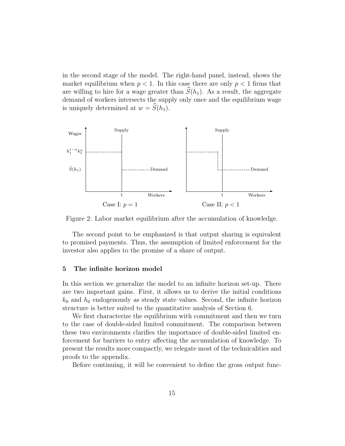in the second stage of the model. The right-hand panel, instead, shows the market equilibrium when  $p < 1$ . In this case there are only  $p < 1$  firms that are willing to hire for a wage greater than  $S(h_1)$ . As a result, the aggregate demand of workers intersects the supply only once and the equilibrium wage is uniquely determined at  $w = S(h_1)$ .



Figure 2: Labor market equilibrium after the accumulation of knowledge.

The second point to be emphasized is that output sharing is equivalent to promised payments. Thus, the assumption of limited enforcement for the investor also applies to the promise of a share of output.

#### 5 The infinite horizon model

In this section we generalize the model to an infinite horizon set-up. There are two important gains. First, it allows us to derive the initial conditions  $k_0$  and  $h_0$  endogenously as steady state values. Second, the infinite horizon structure is better suited to the quantitative analysis of Section 6.

We first characterize the equilibrium with commitment and then we turn to the case of double-sided limited commitment. The comparison between these two environments clarifies the importance of double-sided limited enforcement for barriers to entry affecting the accumulation of knowledge. To present the results more compactly, we relegate most of the technicalities and proofs to the appendix.

Before continuing, it will be convenient to define the gross output func-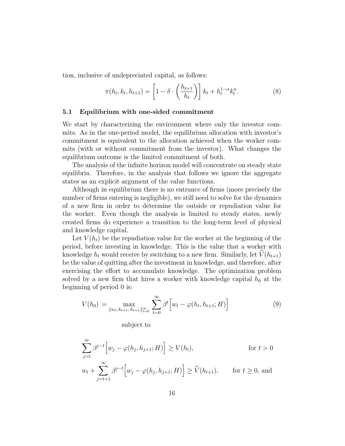tion, inclusive of undepreciated capital, as follows:

$$
\pi(h_t, k_t, h_{t+1}) = \left[1 - \delta \cdot \left(\frac{h_{t+1}}{h_t}\right)\right] k_t + h_t^{1-\alpha} k_t^{\alpha}.
$$
\n(8)

#### 5.1 Equilibrium with one-sided commitment

We start by characterizing the environment where only the investor commits. As in the one-period model, the equilibrium allocation with investor's commitment is equivalent to the allocation achieved when the worker commits (with or without commitment from the investor). What changes the equilibrium outcome is the limited commitment of both.

The analysis of the infinite horizon model will concentrate on steady state equilibria. Therefore, in the analysis that follows we ignore the aggregate states as an explicit argument of the value functions.

Although in equilibrium there is no entrance of firms (more precisely the number of firms entering is negligible), we still need to solve for the dynamics of a new firm in order to determine the outside or repudiation value for the worker. Even though the analysis is limited to steady states, newly created firms do experience a transition to the long-term level of physical and knowledge capital.

Let  $V(h_t)$  be the repudiation value for the worker at the beginning of the period, before investing in knowledge. This is the value that a worker with knowledge  $h_t$  would receive by switching to a new firm. Similarly, let  $\hat{V}(h_{t+1})$ be the value of quitting after the investment in knowledge, and therefore, after exercising the effort to accumulate knowledge. The optimization problem solved by a new firm that hires a worker with knowledge capital  $h_0$  at the beginning of period 0 is:

$$
V(h_0) = \max_{\{w_t, k_{t+1}, h_{t+1}\}_{t=0}^{\infty}} \sum_{t=0}^{\infty} \beta^t \Big[ w_t - \varphi(h_t, h_{t+1}; H) \Big] \tag{9}
$$

subject to

$$
\sum_{j=t}^{\infty} \beta^{j-t} \Big[ w_j - \varphi(h_j, h_{j+1}; H) \Big] \ge V(h_t), \qquad \text{for } t > 0
$$
  

$$
w_t + \sum_{j=t+1}^{\infty} \beta^{j-t} \Big[ w_j - \varphi(h_j, h_{j+1}; H) \Big] \ge \widehat{V}(h_{t+1}), \qquad \text{for } t \ge 0, \text{ and}
$$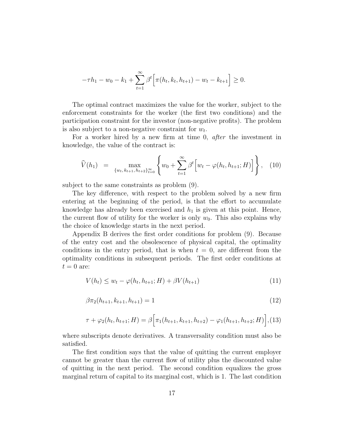$$
-\tau h_1 - w_0 - k_1 + \sum_{t=1}^{\infty} \beta^t \Big[ \pi(h_t, k_t, h_{t+1}) - w_t - k_{t+1} \Big] \ge 0.
$$

The optimal contract maximizes the value for the worker, subject to the enforcement constraints for the worker (the first two conditions) and the participation constraint for the investor (non-negative profits). The problem is also subject to a non-negative constraint for  $w_t$ .

For a worker hired by a new firm at time 0, *after* the investment in knowledge, the value of the contract is:

$$
\widehat{V}(h_1) = \max_{\{w_t, k_{t+1}, h_{t+2}\}_{t=0}^{\infty}} \left\{ w_0 + \sum_{t=1}^{\infty} \beta^t \left[ w_t - \varphi(h_t, h_{t+1}; H) \right] \right\}, \quad (10)
$$

subject to the same constraints as problem (9).

The key difference, with respect to the problem solved by a new firm entering at the beginning of the period, is that the effort to accumulate knowledge has already been exercised and  $h_1$  is given at this point. Hence, the current flow of utility for the worker is only  $w_0$ . This also explains why the choice of knowledge starts in the next period.

Appendix B derives the first order conditions for problem (9). Because of the entry cost and the obsolescence of physical capital, the optimality conditions in the entry period, that is when  $t = 0$ , are different from the optimality conditions in subsequent periods. The first order conditions at  $t = 0$  are:

$$
V(h_t) \le w_t - \varphi(h_t, h_{t+1}; H) + \beta V(h_{t+1})
$$
\n(11)

$$
\beta \pi_2(h_{t+1}, k_{t+1}, h_{t+1}) = 1 \tag{12}
$$

$$
\tau + \varphi_2(h_t, h_{t+1}; H) = \beta \Big[ \pi_1(h_{t+1}, k_{t+1}, h_{t+2}) - \varphi_1(h_{t+1}, h_{t+2}; H) \Big], (13)
$$

where subscripts denote derivatives. A transversality condition must also be satisfied.

The first condition says that the value of quitting the current employer cannot be greater than the current flow of utility plus the discounted value of quitting in the next period. The second condition equalizes the gross marginal return of capital to its marginal cost, which is 1. The last condition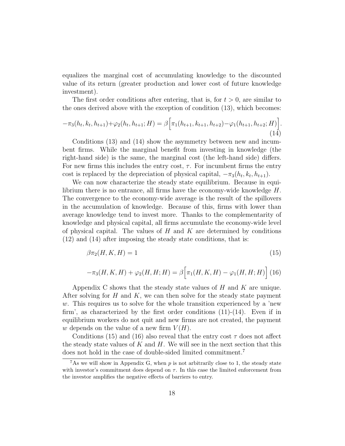equalizes the marginal cost of accumulating knowledge to the discounted value of its return (greater production and lower cost of future knowledge investment).

The first order conditions after entering, that is, for  $t > 0$ , are similar to the ones derived above with the exception of condition (13), which becomes:

$$
-\pi_3(h_t, k_t, h_{t+1}) + \varphi_2(h_t, h_{t+1}; H) = \beta \Big[\pi_1(h_{t+1}, k_{t+1}, h_{t+2}) - \varphi_1(h_{t+1}, h_{t+2}; H)\Big].
$$
\n(14)

Conditions (13) and (14) show the asymmetry between new and incumbent firms. While the marginal benefit from investing in knowledge (the right-hand side) is the same, the marginal cost (the left-hand side) differs. For new firms this includes the entry cost,  $\tau$ . For incumbent firms the entry cost is replaced by the depreciation of physical capital,  $-\pi_3(h_t, k_t, h_{t+1})$ .

We can now characterize the steady state equilibrium. Because in equilibrium there is no entrance, all firms have the economy-wide knowledge  $H$ . The convergence to the economy-wide average is the result of the spillovers in the accumulation of knowledge. Because of this, firms with lower than average knowledge tend to invest more. Thanks to the complementarity of knowledge and physical capital, all firms accumulate the economy-wide level of physical capital. The values of  $H$  and  $K$  are determined by conditions (12) and (14) after imposing the steady state conditions, that is:

$$
\beta \pi_2(H, K, H) = 1\tag{15}
$$

$$
-\pi_3(H, K, H) + \varphi_2(H, H; H) = \beta \Big[\pi_1(H, K, H) - \varphi_1(H, H; H)\Big] (16)
$$

Appendix C shows that the steady state values of  $H$  and  $K$  are unique. After solving for H and K, we can then solve for the steady state payment w. This requires us to solve for the whole transition experienced by a 'new firm', as characterized by the first order conditions  $(11)-(14)$ . Even if in equilibrium workers do not quit and new firms are not created, the payment w depends on the value of a new firm  $V(H)$ .

Conditions (15) and (16) also reveal that the entry cost  $\tau$  does not affect the steady state values of  $K$  and  $H$ . We will see in the next section that this does not hold in the case of double-sided limited commitment.<sup>7</sup>

<sup>&</sup>lt;sup>7</sup>As we will show in Appendix G, when p is not arbitrarily close to 1, the steady state with investor's commitment does depend on  $\tau$ . In this case the limited enforcement from the investor amplifies the negative effects of barriers to entry.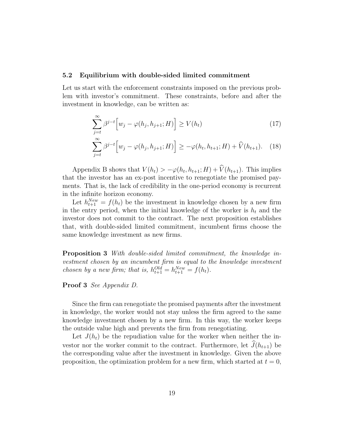#### 5.2 Equilibrium with double-sided limited commitment

Let us start with the enforcement constraints imposed on the previous problem with investor's commitment. These constraints, before and after the investment in knowledge, can be written as:

$$
\sum_{j=t}^{\infty} \beta^{j-t} \Big[ w_j - \varphi(h_j, h_{j+1}; H) \Big] \ge V(h_t)
$$
\n(17)

$$
\sum_{j=t}^{\infty} \beta^{j-t} \Big[ w_j - \varphi(h_j, h_{j+1}; H) \Big] \ge -\varphi(h_t, h_{t+1}; H) + \widehat{V}(h_{t+1}). \tag{18}
$$

Appendix B shows that  $V(h_t) > -\varphi(h_t, h_{t+1}; H) + V(h_{t+1})$ . This implies that the investor has an ex-post incentive to renegotiate the promised payments. That is, the lack of credibility in the one-period economy is recurrent in the infinite horizon economy.

Let  $h_{t+1}^{New} = f(h_t)$  be the investment in knowledge chosen by a new firm in the entry period, when the initial knowledge of the worker is  $h_t$  and the investor does not commit to the contract. The next proposition establishes that, with double-sided limited commitment, incumbent firms choose the same knowledge investment as new firms.

Proposition 3 With double-sided limited commitment, the knowledge investment chosen by an incumbent firm is equal to the knowledge investment chosen by a new firm; that is,  $h_{t+1}^{Old} = h_{t+1}^{New} = f(h_t)$ .

#### Proof 3 See Appendix D.

Since the firm can renegotiate the promised payments after the investment in knowledge, the worker would not stay unless the firm agreed to the same knowledge investment chosen by a new firm. In this way, the worker keeps the outside value high and prevents the firm from renegotiating.

Let  $J(h_t)$  be the repudiation value for the worker when neither the investor nor the worker commit to the contract. Furthermore, let  $\widehat{J}(h_{t+1})$  be the corresponding value after the investment in knowledge. Given the above proposition, the optimization problem for a new firm, which started at  $t = 0$ ,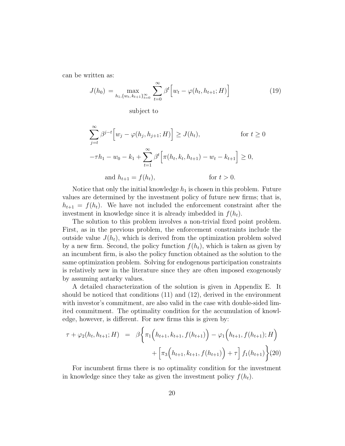can be written as:

$$
J(h_0) = \max_{h_1, \{w_t, k_{t+1}\}_{t=0}^{\infty}} \sum_{t=0}^{\infty} \beta^t \Big[ w_t - \varphi(h_t, h_{t+1}; H) \Big] \tag{19}
$$

subject to

$$
\sum_{j=t}^{\infty} \beta^{j-t} \Big[ w_j - \varphi(h_j, h_{j+1}; H) \Big] \ge J(h_t), \quad \text{for } t \ge 0
$$
  

$$
-\tau h_1 - w_0 - k_1 + \sum_{t=1}^{\infty} \beta^t \Big[ \pi(h_t, k_t, h_{t+1}) - w_t - k_{t+1} \Big] \ge 0,
$$
  
and  $h_{t+1} = f(h_t), \quad \text{for } t > 0.$ 

Notice that only the initial knowledge  $h_1$  is chosen in this problem. Future values are determined by the investment policy of future new firms; that is,  $h_{t+1} = f(h_t)$ . We have not included the enforcement constraint after the investment in knowledge since it is already imbedded in  $f(h_t)$ .

The solution to this problem involves a non-trivial fixed point problem. First, as in the previous problem, the enforcement constraints include the outside value  $J(h_t)$ , which is derived from the optimization problem solved by a new firm. Second, the policy function  $f(h_t)$ , which is taken as given by an incumbent firm, is also the policy function obtained as the solution to the same optimization problem. Solving for endogenous participation constraints is relatively new in the literature since they are often imposed exogenously by assuming autarky values.

A detailed characterization of the solution is given in Appendix E. It should be noticed that conditions (11) and (12), derived in the environment with investor's commitment, are also valid in the case with double-sided limited commitment. The optimality condition for the accumulation of knowledge, however, is different. For new firms this is given by:

$$
\tau + \varphi_2(h_t, h_{t+1}; H) = \beta \Big\{ \pi_1\Big(h_{t+1}, k_{t+1}, f(h_{t+1})\Big) - \varphi_1\Big(h_{t+1}, f(h_{t+1}); H\Big) + \Big[\pi_3\Big(h_{t+1}, k_{t+1}, f(h_{t+1})\Big) + \tau\Big] f_1(h_{t+1}) \Big\} (20)
$$

For incumbent firms there is no optimality condition for the investment in knowledge since they take as given the investment policy  $f(h_t)$ .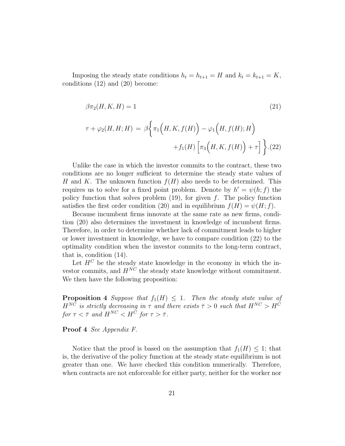Imposing the steady state conditions  $h_t = h_{t+1} = H$  and  $k_t = k_{t+1} = K$ , conditions (12) and (20) become:

$$
\beta \pi_2(H, K, H) = 1 \tag{21}
$$

$$
\tau + \varphi_2(H, H; H) = \beta \Big\{ \pi_1\Big(H, K, f(H)\Big) - \varphi_1\Big(H, f(H); H\Big) + f_1(H) \Big[\pi_3\Big(H, K, f(H)\Big) + \tau \Big] \Big\} . (22)
$$

Unlike the case in which the investor commits to the contract, these two conditions are no longer sufficient to determine the steady state values of H and K. The unknown function  $f(H)$  also needs to be determined. This requires us to solve for a fixed point problem. Denote by  $h' = \psi(h; f)$  the policy function that solves problem  $(19)$ , for given f. The policy function satisfies the first order condition (20) and in equilibrium  $f(H) = \psi(H; f)$ .

Because incumbent firms innovate at the same rate as new firms, condition (20) also determines the investment in knowledge of incumbent firms. Therefore, in order to determine whether lack of commitment leads to higher or lower investment in knowledge, we have to compare condition (22) to the optimality condition when the investor commits to the long-term contract, that is, condition (14).

Let  $H^C$  be the steady state knowledge in the economy in which the investor commits, and  $H^{NC}$  the steady state knowledge without commitment. We then have the following proposition:

**Proposition 4** Suppose that  $f_1(H) \leq 1$ . Then the steady state value of  $H^{NC}$  is strictly decreasing in  $\tau$  and there exists  $\bar{\tau} > 0$  such that  $H^{NC} > H^{C}$ for  $\tau < \overline{\tau}$  and  $H^{NC} < H^{\overline{C}}$  for  $\tau > \overline{\tau}$ .

Proof 4 See Appendix F.

Notice that the proof is based on the assumption that  $f_1(H) \leq 1$ ; that is, the derivative of the policy function at the steady state equilibrium is not greater than one. We have checked this condition numerically. Therefore, when contracts are not enforceable for either party, neither for the worker nor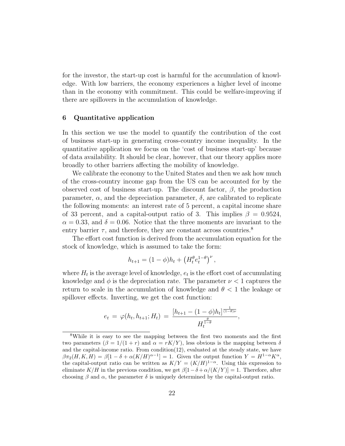for the investor, the start-up cost is harmful for the accumulation of knowledge. With low barriers, the economy experiences a higher level of income than in the economy with commitment. This could be welfare-improving if there are spillovers in the accumulation of knowledge.

#### 6 Quantitative application

In this section we use the model to quantify the contribution of the cost of business start-up in generating cross-country income inequality. In the quantitative application we focus on the 'cost of business start-up' because of data availability. It should be clear, however, that our theory applies more broadly to other barriers affecting the mobility of knowledge.

We calibrate the economy to the United States and then we ask how much of the cross-country income gap from the US can be accounted for by the observed cost of business start-up. The discount factor,  $\beta$ , the production parameter,  $\alpha$ , and the depreciation parameter,  $\delta$ , are calibrated to replicate the following moments: an interest rate of 5 percent, a capital income share of 33 percent, and a capital-output ratio of 3. This implies  $\beta = 0.9524$ ,  $\alpha = 0.33$ , and  $\delta = 0.06$ . Notice that the three moments are invariant to the entry barrier  $\tau$ , and therefore, they are constant across countries.<sup>8</sup>

The effort cost function is derived from the accumulation equation for the stock of knowledge, which is assumed to take the form:

$$
h_{t+1} = (1 - \phi)h_t + \left(H_t^{\theta} e_t^{1-\theta}\right)^{\nu},
$$

where  $H_t$  is the average level of knowledge,  $e_t$  is the effort cost of accumulating knowledge and  $\phi$  is the depreciation rate. The parameter  $\nu < 1$  captures the return to scale in the accumulation of knowledge and  $\theta < 1$  the leakage or spillover effects. Inverting, we get the cost function:

$$
e_t = \varphi(h_t, h_{t+1}; H_t) = \frac{[h_{t+1} - (1 - \phi)h_t]^{\frac{1}{(1 - \theta)\nu}}}{H_t^{\frac{\theta}{1 - \theta}}},
$$

<sup>8</sup>While it is easy to see the mapping between the first two moments and the first two parameters  $(\beta = 1/(1+r)$  and  $\alpha = rK/Y$ , less obvious is the mapping between  $\delta$ and the capital-income ratio. From condition(12), evaluated at the steady state, we have  $\beta \pi_2(H,K,H) = \beta[1-\delta + \alpha(K/H)^{\alpha-1}] = 1.$  Given the output function  $Y = H^{1-\alpha}K^{\alpha}$ , the capital-output ratio can be written as  $K/Y = (K/H)^{1-\alpha}$ . Using this expression to eliminate  $K/H$  in the previous condition, we get  $\beta[1-\delta+\alpha/(K/Y)] = 1$ . Therefore, after choosing  $\beta$  and  $\alpha$ , the parameter  $\delta$  is uniquely determined by the capital-output ratio.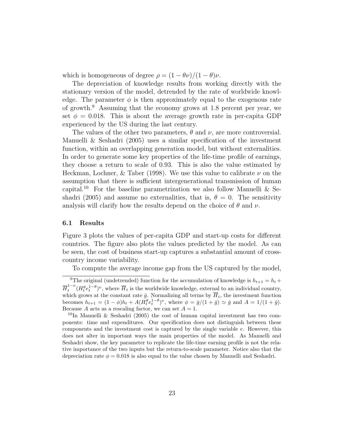which is homogeneous of degree  $\rho = (1 - \theta \nu)/(1 - \theta) \nu$ .

The depreciation of knowledge results from working directly with the stationary version of the model, detrended by the rate of worldwide knowledge. The parameter  $\phi$  is then approximately equal to the exogenous rate of growth.<sup>9</sup> Assuming that the economy grows at 1.8 percent per year, we set  $\phi = 0.018$ . This is about the average growth rate in per-capita GDP experienced by the US during the last century.

The values of the other two parameters,  $\theta$  and  $\nu$ , are more controversial. Manuelli & Seshadri (2005) uses a similar specification of the investment function, within an overlapping generation model, but without externalities. In order to generate some key properties of the life-time profile of earnings, they choose a return to scale of 0.93. This is also the value estimated by Heckman, Lochner, & Taber (1998). We use this value to calibrate  $\nu$  on the assumption that there is sufficient intergenerational transmission of human capital.<sup>10</sup> For the baseline parametrization we also follow Manuelli & Seshadri (2005) and assume no externalities, that is,  $\theta = 0$ . The sensitivity analysis will clarify how the results depend on the choice of  $\theta$  and  $\nu$ .

#### 6.1 Results

Figure 3 plots the values of per-capita GDP and start-up costs for different countries. The figure also plots the values predicted by the model. As can be seen, the cost of business start-up captures a substantial amount of crosscountry income variability.

To compute the average income gap from the US captured by the model,

<sup>&</sup>lt;sup>9</sup>The original (undetrended) function for the accumulation of knowledge is  $h_{t+1} = h_t +$  $\overline{H}_t^{1-\nu}$  $\int_t^{1-\nu} (H_t^{\theta} e_t^{1-\theta})^{\nu}$ , where  $\overline{H}_t$  is the worldwide knowledge, external to an individual country, which grows at the constant rate  $\bar{g}$ . Normalizing all terms by  $\bar{H}_t$ , the investment function becomes  $h_{t+1} = (1 - \phi)h_t + A(H_t^{\theta} e_t^{1-\theta})^{\nu}$ , where  $\phi = \bar{g}/(1 + \bar{g}) \simeq \bar{g}$  and  $A = 1/(1 + \bar{g})$ . Because A acts as a rescaling factor, we can set  $A = 1$ .

<sup>&</sup>lt;sup>10</sup>In Manuelli & Seshadri (2005) the cost of human capital investment has two components: time and expenditures. Our specification does not distinguish between these components and the investment cost is captured by the single variable  $e$ . However, this does not alter in important ways the main properties of the model. As Manuelli and Seshadri show, the key parameter to replicate the life-time earning profile is not the relative importance of the two inputs but the return-to-scale parameter. Notice also that the depreciation rate  $\phi = 0.018$  is also equal to the value chosen by Manuelli and Seshadri.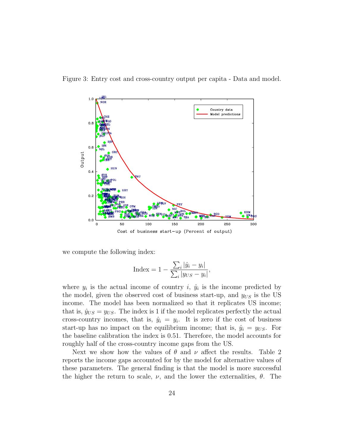



we compute the following index:

$$
Index = 1 - \frac{\sum_{i} |\hat{y}_i - y_i|}{\sum_{i} |y_{US} - y_i|},
$$

where  $y_i$  is the actual income of country i,  $\hat{y}_i$  is the income predicted by the model, given the observed cost of business start-up, and  $y_{US}$  is the US income. The model has been normalized so that it replicates US income; that is,  $\hat{y}_{US} = y_{US}$ . The index is 1 if the model replicates perfectly the actual cross-country incomes, that is,  $\hat{y}_i = y_i$ . It is zero if the cost of business start-up has no impact on the equilibrium income; that is,  $\hat{y}_i = y_{US}$ . For the baseline calibration the index is 0.51. Therefore, the model accounts for roughly half of the cross-country income gaps from the US.

Next we show how the values of  $\theta$  and  $\nu$  affect the results. Table 2 reports the income gaps accounted for by the model for alternative values of these parameters. The general finding is that the model is more successful the higher the return to scale,  $\nu$ , and the lower the externalities,  $\theta$ . The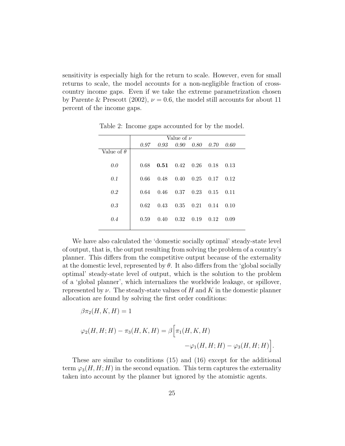sensitivity is especially high for the return to scale. However, even for small returns to scale, the model accounts for a non-negligible fraction of crosscountry income gaps. Even if we take the extreme parametrization chosen by Parente & Prescott (2002),  $\nu = 0.6$ , the model still accounts for about 11 percent of the income gaps.

|                   | Value of $\nu$ |      |                   |      |      |      |  |
|-------------------|----------------|------|-------------------|------|------|------|--|
|                   | 0.97           | 0.93 | $0.90 \quad 0.80$ |      | 0.70 | 0.60 |  |
| Value of $\theta$ |                |      |                   |      |      |      |  |
| 0.0               | 0.68           | 0.51 | $0.42 \quad 0.26$ |      | 0.18 | 0.13 |  |
| 0.1               | 0.66           | 0.48 | $0.40 \quad 0.25$ |      | 0.17 | 0.12 |  |
| 0.2               | 0.64           | 0.46 | 0.37              | 0.23 | 0.15 | 0.11 |  |
| 0.3               | 0.62           | 0.43 | $0.35 \quad 0.21$ |      | 0.14 | 0.10 |  |
| 0.4               | 0.59           | 0.40 | 0.32              | 0.19 | 0.12 | 0.09 |  |
|                   |                |      |                   |      |      |      |  |

Table 2: Income gaps accounted for by the model.

We have also calculated the 'domestic socially optimal' steady-state level of output, that is, the output resulting from solving the problem of a country's planner. This differs from the competitive output because of the externality at the domestic level, represented by  $\theta$ . It also differs from the 'global socially optimal' steady-state level of output, which is the solution to the problem of a 'global planner', which internalizes the worldwide leakage, or spillover, represented by  $\nu$ . The steady-state values of H and K in the domestic planner allocation are found by solving the first order conditions:

$$
\beta \pi_2(H, K, H) = 1
$$
  

$$
\varphi_2(H, H; H) - \pi_3(H, K, H) = \beta \Big[ \pi_1(H, K, H) -\varphi_1(H, H; H) - \varphi_3(H, H; H) \Big].
$$

These are similar to conditions (15) and (16) except for the additional term  $\varphi_3(H, H; H)$  in the second equation. This term captures the externality taken into account by the planner but ignored by the atomistic agents.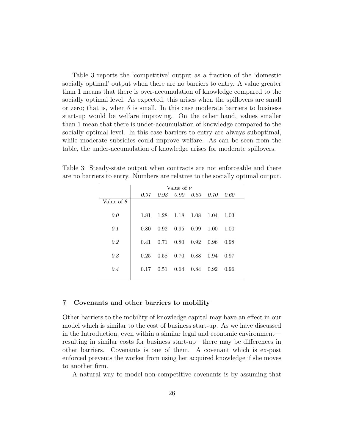Table 3 reports the 'competitive' output as a fraction of the 'domestic socially optimal' output when there are no barriers to entry. A value greater than 1 means that there is over-accumulation of knowledge compared to the socially optimal level. As expected, this arises when the spillovers are small or zero; that is, when  $\theta$  is small. In this case moderate barriers to business start-up would be welfare improving. On the other hand, values smaller than 1 mean that there is under-accumulation of knowledge compared to the socially optimal level. In this case barriers to entry are always suboptimal, while moderate subsidies could improve welfare. As can be seen from the table, the under-accumulation of knowledge arises for moderate spillovers.

Table 3: Steady-state output when contracts are not enforceable and there are no barriers to entry. Numbers are relative to the socially optimal output.

|                   | Value of $\nu$ |      |                               |  |      |      |  |
|-------------------|----------------|------|-------------------------------|--|------|------|--|
|                   |                |      | 0.97 0.93 0.90 0.80 0.70 0.60 |  |      |      |  |
| Value of $\theta$ |                |      |                               |  |      |      |  |
| 0.0               | 1.81           | 1.28 | 1.18 1.08                     |  | 1.04 | 1.03 |  |
| 0.1               | 0.80           | 0.92 | $0.95$ 0.99                   |  | 1.00 | 1.00 |  |
| 0.2               | 0.41           | 0.71 | $0.80 \quad 0.92 \quad 0.96$  |  |      | 0.98 |  |
| 0.3               | 0.25           | 0.58 | $0.70 \quad 0.88$             |  | 0.94 | 0.97 |  |
| 0.4               | 0.17           | 0.51 | $0.64$ 0.84                   |  | 0.92 | 0.96 |  |
|                   |                |      |                               |  |      |      |  |

#### 7 Covenants and other barriers to mobility

Other barriers to the mobility of knowledge capital may have an effect in our model which is similar to the cost of business start-up. As we have discussed in the Introduction, even within a similar legal and economic environment resulting in similar costs for business start-up—there may be differences in other barriers. Covenants is one of them. A covenant which is ex-post enforced prevents the worker from using her acquired knowledge if she moves to another firm.

A natural way to model non-competitive covenants is by assuming that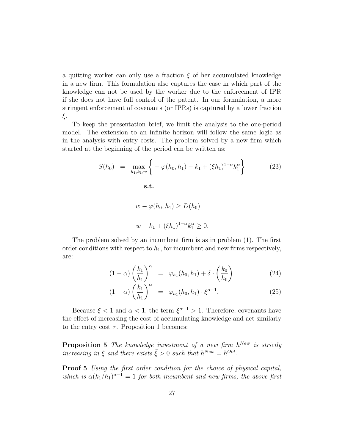a quitting worker can only use a fraction  $\xi$  of her accumulated knowledge in a new firm. This formulation also captures the case in which part of the knowledge can not be used by the worker due to the enforcement of IPR if she does not have full control of the patent. In our formulation, a more stringent enforcement of covenants (or IPRs) is captured by a lower fraction ξ.

To keep the presentation brief, we limit the analysis to the one-period model. The extension to an infinite horizon will follow the same logic as in the analysis with entry costs. The problem solved by a new firm which started at the beginning of the period can be written as:

$$
S(h_0) = \max_{h_1, k_1, w} \left\{ -\varphi(h_0, h_1) - k_1 + (\xi h_1)^{1-\alpha} k_1^{\alpha} \right\}
$$
 (23)  
s.t.  

$$
w - \varphi(h_0, h_1) \ge D(h_0)
$$

$$
-w - k_1 + (\xi h_1)^{1-\alpha} k_1^{\alpha} \ge 0.
$$

The problem solved by an incumbent firm is as in problem (1). The first order conditions with respect to  $h_1$ , for incumbent and new firms respectively, are:

$$
(1 - \alpha) \left(\frac{k_1}{h_1}\right)^{\alpha} = \varphi_{h_1}(h_0, h_1) + \delta \cdot \left(\frac{k_0}{h_0}\right)
$$
 (24)

$$
(1 - \alpha) \left(\frac{k_1}{h_1}\right)^{\alpha} = \varphi_{h_1}(h_0, h_1) \cdot \xi^{\alpha - 1}.
$$
 (25)

Because  $\xi < 1$  and  $\alpha < 1$ , the term  $\xi^{\alpha-1} > 1$ . Therefore, covenants have the effect of increasing the cost of accumulating knowledge and act similarly to the entry cost  $\tau$ . Proposition 1 becomes:

**Proposition 5** The knowledge investment of a new firm  $h^{New}$  is strictly increasing in  $\xi$  and there exists  $\bar{\xi} > 0$  such that  $h^{New} = h^{Old}$ .

**Proof 5** Using the first order condition for the choice of physical capital, which is  $\alpha (k_1/h_1)^{\alpha-1} = 1$  for both incumbent and new firms, the above first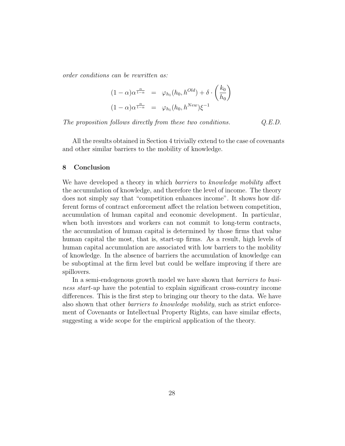order conditions can be rewritten as:

$$
(1 - \alpha)\alpha^{\frac{\alpha}{1 - \alpha}} = \varphi_{h_1}(h_0, h^{Old}) + \delta \cdot \left(\frac{k_0}{h_0}\right)
$$

$$
(1 - \alpha)\alpha^{\frac{\alpha}{1 - \alpha}} = \varphi_{h_1}(h_0, h^{New})\xi^{-1}
$$

The proposition follows directly from these two conditions.  $Q.E.D.$ 

All the results obtained in Section 4 trivially extend to the case of covenants and other similar barriers to the mobility of knowledge.

#### 8 Conclusion

We have developed a theory in which *barriers* to *knowledge mobility* affect the accumulation of knowledge, and therefore the level of income. The theory does not simply say that "competition enhances income". It shows how different forms of contract enforcement affect the relation between competition, accumulation of human capital and economic development. In particular, when both investors and workers can not commit to long-term contracts, the accumulation of human capital is determined by those firms that value human capital the most, that is, start-up firms. As a result, high levels of human capital accumulation are associated with low barriers to the mobility of knowledge. In the absence of barriers the accumulation of knowledge can be suboptimal at the firm level but could be welfare improving if there are spillovers.

In a semi-endogenous growth model we have shown that *barriers to busi*ness start-up have the potential to explain significant cross-country income differences. This is the first step to bringing our theory to the data. We have also shown that other barriers to knowledge mobility, such as strict enforcement of Covenants or Intellectual Property Rights, can have similar effects, suggesting a wide scope for the empirical application of the theory.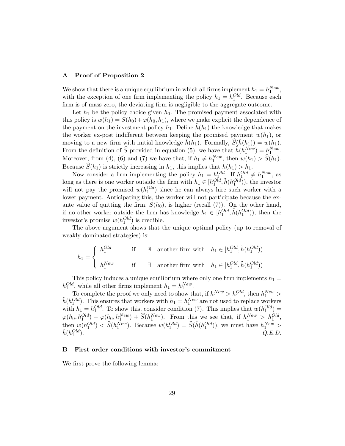#### A Proof of Proposition 2

We show that there is a unique equilibrium in which all firms implement  $h_1 = h_1^{New}$ , with the exception of one firm implementing the policy  $h_1 = h_1^{Old}$ . Because each firm is of mass zero, the deviating firm is negligible to the aggregate outcome.

Let  $h_1$  be the policy choice given  $h_0$ . The promised payment associated with this policy is  $w(h_1) = S(h_0) + \varphi(h_0, h_1)$ , where we make explicit the dependence of the payment on the investment policy  $h_1$ . Define  $h(h_1)$  the knowledge that makes the worker ex-post indifferent between keeping the promised payment  $w(h_1)$ , or moving to a new firm with initial knowledge  $\tilde{h}(h_1)$ . Formally,  $\tilde{S}(\tilde{h}(h_1)) = w(h_1)$ . From the definition of  $\widehat{S}$  provided in equation (5), we have that  $\hat{h}(h_1^{New}) = h_1^{New}$ . Moreover, from (4), (6) and (7) we have that, if  $h_1 \neq h_1^{New}$ , then  $w(h_1) > \widehat{S}(h_1)$ . Because  $\widehat{S}(h_1)$  is strictly increasing in  $h_1$ , this implies that  $\tilde{h}(h_1) > h_1$ .

Now consider a firm implementing the policy  $h_1 = h_1^{Old}$ . If  $h_1^{Old} \neq h_1^{New}$ , as long as there is one worker outside the firm with  $h_1 \in [h_1^{Old}, \tilde{h}(h_1^{Old})),$  the investor will not pay the promised  $w(h_1^{Old})$  since he can always hire such worker with a lower payment. Anticipating this, the worker will not participate because the exante value of quitting the firm,  $S(h_0)$ , is higher (recall (7)). On the other hand, if no other worker outside the firm has knowledge  $h_1 \in [h_1^{Old}, \tilde{h}(h_1^{Old})),$  then the investor's promise  $w(h_1^{Old})$  is credible.

The above argument shows that the unique optimal policy (up to removal of weakly dominated strategies) is:

$$
h_1 = \begin{cases} h_1^{Old} & \text{if } \nexists \text{ another firm with } h_1 \in [h_1^{Old}, \tilde{h}(h_1^{Old})) \\ h_1^{New} & \text{if } \exists \text{ another firm with } h_1 \in [h_1^{Old}, \tilde{h}(h_1^{Old})) \end{cases}
$$

This policy induces a unique equilibrium where only one firm implements  $h_1 =$  $h_1^{Old}$ , while all other firms implement  $h_1 = h_1^{New}$ .

To complete the proof we only need to show that, if  $h_1^{New} > h_1^{Old}$ , then  $h_1^{New} >$  $\tilde{h}(h_1^{Old})$ . This ensures that workers with  $h_1 = h_1^{New}$  are not used to replace workers with  $h_1 = h_1^{Old}$ . To show this, consider condition (7). This implies that  $w(h_1^{Old}) =$  $\varphi(h_0, h_1^{Old}) - \varphi(h_0, h_1^{New}) + \widehat{S}(h_1^{New})$ . From this we see that, if  $h_1^{New} > h_1^{Old}$ , then  $w(h_1^{Old}) < \hat{S}(h_1^{New})$ . Because  $w(h_1^{Old}) = \hat{S}(\tilde{h}(h_1^{Old}))$ , we must have  $h_1^{New} > \tilde{S}(h_1^{Old})$  $\tilde{h}(h_1^{Old}$  $Q.E.D.$ 

#### B First order conditions with investor's commitment

We first prove the following lemma: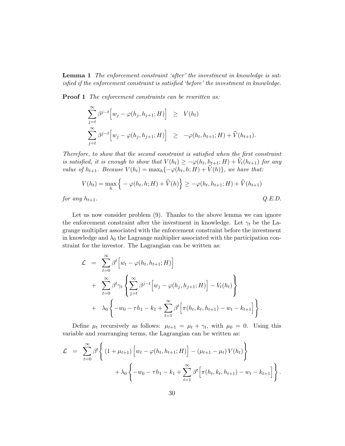**Lemma 1** The enforcement constraint 'after' the investment in knowledge is satisfied if the enforcement constraint is satisfied 'before' the investment in knowledge.

**Proof 1** The enforcement constraints can be rewritten as:

$$
\sum_{j=t}^{\infty} \beta^{j-t} \Big[ w_j - \varphi(h_j, h_{j+1}; H) \Big] \geq V(h_t)
$$
  

$$
\sum_{j=t}^{\infty} \beta^{j-t} \Big[ w_j - \varphi(h_j, h_{j+1}; H) \Big] \geq -\varphi(h_t, h_{t+1}; H) + \widehat{V}(h_{t+1}).
$$

Therefore, to show that the second constraint is satisfied when the first constraint is satisfied, it is enough to show that  $V(h_t) \ge -\varphi(h_t, h_{t+1}; H) + V_t(h_{t+1})$  for any value of  $h_{t+1}$ . Because  $V(h_t) = \max_h \{-\varphi(h_t, h; H) + V(h)\}$ , we have that:

$$
V(h_t) = \max_h \left\{ -\varphi(h_t, h; H) + \widehat{V}(h) \right\} \ge -\varphi(h_t, h_{t+1}; H) + \widehat{V}(h_{t+1})
$$
  
for any  $h_{t+1}$ .  
Q.E.D.

Let us now consider problem (9). Thanks to the above lemma we can ignore the enforcement constraint after the investment in knowledge. Let  $\gamma_t$  be the Lagrange multiplier associated with the enforcement constraint before the investment in knowledge and  $\lambda_0$  the Lagrange multiplier associated with the participation constraint for the investor. The Lagrangian can be written as:

$$
\mathcal{L} = \sum_{t=0}^{\infty} \beta^t \Big[ w_t - \varphi(h_t, h_{t+1}; H) \Big] \n+ \sum_{t=0}^{\infty} \beta^t \gamma_t \left\{ \sum_{j=t}^{\infty} \beta^{j-t} \Big[ w_j - \varphi(h_j, h_{j+1}; H) \Big] - V_t(h_t) \right\} \n+ \lambda_0 \left\{ -w_0 - \tau h_1 - k_1 + \sum_{t=1}^{\infty} \beta^t \Big[ \pi(h_t, k_t, h_{t+1}) - w_t - k_{t+1} \Big] \right\}.
$$

Define  $\mu_t$  recursively as follows:  $\mu_{t+1} = \mu_t + \gamma_t$ , with  $\mu_0 = 0$ . Using this variable and rearranging terms, the Lagrangian can be written as:

$$
\mathcal{L} = \sum_{t=0}^{\infty} \beta^{t} \left\{ (1 + \mu_{t+1}) \left[ w_t - \varphi(h_t, h_{t+1}; H) \right] - (\mu_{t+1} - \mu_t) V(h_t) \right\} + \lambda_0 \left\{ -w_0 - \tau h_1 - k_1 + \sum_{t=1}^{\infty} \beta^{t} \left[ \pi(h_t, k_t, h_{t+1}) - w_t - k_{t+1} \right] \right\}.
$$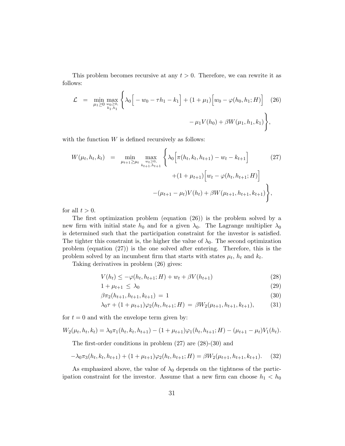This problem becomes recursive at any  $t > 0$ . Therefore, we can rewrite it as follows:

$$
\mathcal{L} = \min_{\mu_1 \geq 0} \max_{\substack{w_0 \geq 0, \\ k_1, h_1}} \left\{ \lambda_0 \Big[ -w_0 - \tau h_1 - k_1 \Big] + (1 + \mu_1) \Big[ w_0 - \varphi(h_0, h_1; H) \Big] \right\} (26) - \mu_1 V(h_0) + \beta W(\mu_1, h_1, k_1) \right\},\,
$$

with the function  $W$  is defined recursively as follows:

$$
W(\mu_t, h_t, k_t) = \min_{\mu_{t+1} \ge \mu_t} \max_{\substack{w_t \ge 0, \\ k_{t+1}, h_{t+1}}} \left\{ \lambda_0 \Big[ \pi(h_t, k_t, h_{t+1}) - w_t - k_{t+1} \Big] + (1 + \mu_{t+1}) \Big[ w_t - \varphi(h_t, h_{t+1}; H) \Big] - (\mu_{t+1} - \mu_t) V(h_t) + \beta W(\mu_{t+1}, h_{t+1}, k_{t+1}) \right\},
$$
\n(27)

for all  $t > 0$ .

The first optimization problem (equation (26)) is the problem solved by a new firm with initial state  $h_0$  and for a given  $\lambda_0$ . The Lagrange multiplier  $\lambda_0$ is determined such that the participation constraint for the investor is satisfied. The tighter this constraint is, the higher the value of  $\lambda_0$ . The second optimization problem (equation (27)) is the one solved after entering. Therefore, this is the problem solved by an incumbent firm that starts with states  $\mu_t$ ,  $h_t$  and  $k_t$ .

Taking derivatives in problem (26) gives:

$$
V(h_t) \le -\varphi(h_t, h_{t+1}; H) + w_t + \beta V(h_{t+1})
$$
\n(28)

$$
1 + \mu_{t+1} \le \lambda_0 \tag{29}
$$

$$
\beta \pi_2(h_{t+1}, h_{t+1}, k_{t+1}) = 1 \tag{30}
$$

$$
\lambda_0 \tau + (1 + \mu_{t+1}) \varphi_2(h_t, h_{t+1}; H) = \beta W_2(\mu_{t+1}, h_{t+1}, k_{t+1}), \tag{31}
$$

for  $t = 0$  and with the envelope term given by:

$$
W_2(\mu_t, h_t, k_t) = \lambda_0 \pi_1(h_t, k_t, h_{t+1}) - (1 + \mu_{t+1})\varphi_1(h_t, h_{t+1}; H) - (\mu_{t+1} - \mu_t) V_1(h_t).
$$

The first-order conditions in problem (27) are (28)-(30) and

$$
-\lambda_0 \pi_3(h_t, k_t, h_{t+1}) + (1 + \mu_{t+1})\varphi_2(h_t, h_{t+1}; H) = \beta W_2(\mu_{t+1}, h_{t+1}, k_{t+1}).
$$
 (32)

As emphasized above, the value of  $\lambda_0$  depends on the tightness of the participation constraint for the investor. Assume that a new firm can choose  $h_1 < h_0$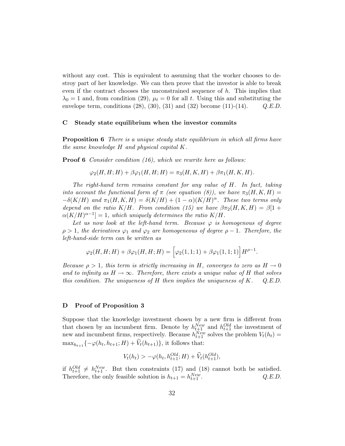without any cost. This is equivalent to assuming that the worker chooses to destroy part of her knowledge. We can then prove that the investor is able to break even if the contract chooses the unconstrained sequence of  $h$ . This implies that  $\lambda_0 = 1$  and, from condition (29),  $\mu_t = 0$  for all t. Using this and substituting the envelope term, conditions  $(28)$ ,  $(30)$ ,  $(31)$  and  $(32)$  become  $(11)-(14)$ .  $Q.E.D.$ 

#### C Steady state equilibrium when the investor commits

**Proposition 6** There is a unique steady state equilibrium in which all firms have the same knowledge H and physical capital K.

**Proof 6** Consider condition (16), which we rewrite here as follows:

$$
\varphi_2(H, H; H) + \beta \varphi_1(H, H; H) = \pi_3(H, K, H) + \beta \pi_1(H, K, H).
$$

The right-hand term remains constant for any value of H. In fact, taking into account the functional form of  $\pi$  (see equation (8)), we have  $\pi_3(H, K, H)$  =  $-\delta(K/H)$  and  $\pi_1(H,K,H) = \delta(K/H) + (1-\alpha)(K/H)^{\alpha}$ . These two terms only depend on the ratio K/H. From condition (15) we have  $\beta \pi_2(H, K, H) = \beta[1 +$  $\alpha(K/H)^{\alpha-1}$  = 1, which uniquely determines the ratio  $K/H$ .

Let us now look at the left-hand term. Because  $\varphi$  is homogenous of degree  $\rho > 1$ , the derivatives  $\varphi_1$  and  $\varphi_2$  are homogeneous of degree  $\rho - 1$ . Therefore, the left-hand-side term can be written as

$$
\varphi_2(H, H; H) + \beta \varphi_1(H, H; H) = \left[ \varphi_2(1, 1; 1) + \beta \varphi_1(1, 1; 1) \right] H^{\rho - 1}.
$$

Because  $\rho > 1$ , this term is strictly increasing in H, converges to zero as  $H \to 0$ and to infinity as  $H \to \infty$ . Therefore, there exists a unique value of H that solves this condition. The uniqueness of H then implies the uniqueness of K.  $Q.E.D.$ 

#### D Proof of Proposition 3

Suppose that the knowledge investment chosen by a new firm is different from that chosen by an incumbent firm. Denote by  $h_{t+1}^{New}$  and  $h_{t+1}^{Old}$  the investment of new and incumbent firms, respectively. Because  $h_{t+1}^{New}$  solves the problem  $V_t(h_t)$  =  $\max_{h_{t+1}} \{-\varphi(h_t, h_{t+1}; H) + V_t(h_{t+1})\},\$ it follows that:

$$
V_t(h_t) > -\varphi(h_t, h_{t+1}^{Old}; H) + \hat{V}_t(h_{t+1}^{Old}),
$$

if  $h_{t+1}^{Old} \neq h_{t+1}^{New}$ . But then constraints (17) and (18) cannot both be satisfied. Therefore, the only feasible solution is  $h_{t+1} = h_{t+1}^{New}$  $Q.E.D.$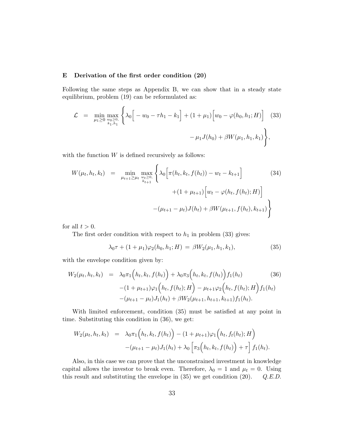#### E Derivation of the first order condition (20)

Following the same steps as Appendix B, we can show that in a steady state equilibrium, problem (19) can be reformulated as:

$$
\mathcal{L} = \min_{\mu_1 \ge 0} \max_{\substack{w_0 \ge 0, \\ k_1, h_1}} \left\{ \lambda_0 \Big[ -w_0 - \tau h_1 - k_1 \Big] + (1 + \mu_1) \Big[ w_0 - \varphi(h_0, h_1; H) \Big] \right\} (33)
$$

$$
- \mu_1 J(h_0) + \beta W(\mu_1, h_1, k_1) \Big\},
$$

with the function  $W$  is defined recursively as follows:

$$
W(\mu_t, h_t, k_t) = \min_{\mu_{t+1} \ge \mu_t} \max_{\substack{w_t \ge 0, \\ k_{t+1}}} \left\{ \lambda_0 \Big[ \pi(h_t, k_t, f(h_t)) - w_t - k_{t+1} \Big] + (1 + \mu_{t+1}) \Big[ w_t - \varphi(h_t, f(h_t); H) \Big] - (\mu_{t+1} - \mu_t) J(h_t) + \beta W(\mu_{t+1}, f(h_t), k_{t+1}) \right\}
$$
(34)

for all  $t > 0$ .

The first order condition with respect to  $h_1$  in problem (33) gives:

$$
\lambda_0 \tau + (1 + \mu_1) \varphi_2(h_0, h_1; H) = \beta W_2(\mu_1, h_1, k_1), \tag{35}
$$

with the envelope condition given by:

$$
W_2(\mu_t, h_t, k_t) = \lambda_0 \pi_1 \Big( h_t, k_t, f(h_t) \Big) + \lambda_0 \pi_3 \Big( h_t, k_t, f(h_t) \Big) f_1(h_t)
$$
\n
$$
-(1 + \mu_{t+1}) \varphi_1 \Big( h_t, f(h_t); H \Big) - \mu_{t+1} \varphi_2 \Big( h_t, f(h_t); H \Big) f_1(h_t)
$$
\n
$$
-(\mu_{t+1} - \mu_t) J_1(h_t) + \beta W_2(\mu_{t+1}, h_{t+1}, k_{t+1}) f_1(h_t).
$$
\n(36)

With limited enforcement, condition (35) must be satisfied at any point in time. Substituting this condition in (36), we get:

$$
W_2(\mu_t, h_t, k_t) = \lambda_0 \pi_1 \Big( h_t, k_t, f(h_t) \Big) - (1 + \mu_{t+1}) \varphi_1 \Big( h_t, f_t(h_t); H \Big) - (\mu_{t+1} - \mu_t) J_1(h_t) + \lambda_0 \Big[ \pi_3 \Big( h_t, k_t, f(h_t) \Big) + \tau \Big] f_1(h_t).
$$

Also, in this case we can prove that the unconstrained investment in knowledge capital allows the investor to break even. Therefore,  $\lambda_0 = 1$  and  $\mu_t = 0$ . Using this result and substituting the envelope in  $(35)$  we get condition  $(20)$ .  $Q.E.D.$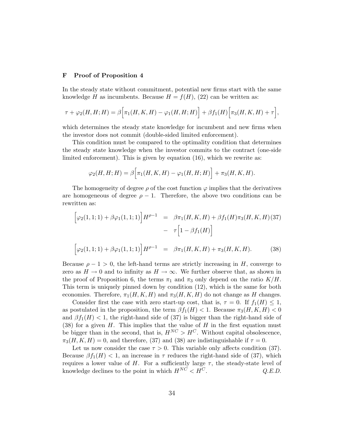#### F Proof of Proposition 4

In the steady state without commitment, potential new firms start with the same knowledge H as incumbents. Because  $H = f(H)$ , (22) can be written as:

$$
\tau + \varphi_2(H, H; H) = \beta \Big[ \pi_1(H, K, H) - \varphi_1(H, H; H) \Big] + \beta f_1(H) \Big[ \pi_3(H, K, H) + \tau \Big],
$$

which determines the steady state knowledge for incumbent and new firms when the investor does not commit (double-sided limited enforcement).

This condition must be compared to the optimality condition that determines the steady state knowledge when the investor commits to the contract (one-side limited enforcement). This is given by equation (16), which we rewrite as:

$$
\varphi_2(H, H; H) = \beta \Big[ \pi_1(H, K, H) - \varphi_1(H, H; H) \Big] + \pi_3(H, K, H).
$$

The homogeneity of degree  $\rho$  of the cost function  $\varphi$  implies that the derivatives are homogeneous of degree  $\rho - 1$ . Therefore, the above two conditions can be rewritten as:

$$
\left[\varphi_2(1,1;1) + \beta \varphi_1(1,1;1)\right] H^{\rho-1} = \beta \pi_1(H,K,H) + \beta f_1(H) \pi_3(H,K,H) (37)
$$

$$
- \tau \left[1 - \beta f_1(H)\right]
$$

$$
\left[\varphi_2(1,1;1) + \beta \varphi_1(1,1;1)\right] H^{\rho-1} = \beta \pi_1(H,K,H) + \pi_3(H,K,H). \tag{38}
$$

Because  $\rho - 1 > 0$ , the left-hand terms are strictly increasing in H, converge to zero as  $H \to 0$  and to infinity as  $H \to \infty$ . We further observe that, as shown in the proof of Proposition 6, the terms  $\pi_1$  and  $\pi_3$  only depend on the ratio  $K/H$ . This term is uniquely pinned down by condition (12), which is the same for both economies. Therefore,  $\pi_1(H, K, H)$  and  $\pi_3(H, K, H)$  do not change as H changes.

Consider first the case with zero start-up cost, that is,  $\tau = 0$ . If  $f_1(H) \leq 1$ , as postulated in the proposition, the term  $\beta f_1(H) < 1$ . Because  $\pi_3(H, K, H) < 0$ and  $\beta f_1(H) < 1$ , the right-hand side of (37) is bigger than the right-hand side of (38) for a given  $H$ . This implies that the value of  $H$  in the first equation must be bigger than in the second, that is,  $H^{NC} > H^C$ . Without capital obsolescence,  $\pi_3(H, K, H) = 0$ , and therefore, (37) and (38) are indistinguishable if  $\tau = 0$ .

Let us now consider the case  $\tau > 0$ . This variable only affects condition (37). Because  $\beta f_1(H) < 1$ , an increase in  $\tau$  reduces the right-hand side of (37), which requires a lower value of H. For a sufficiently large  $\tau$ , the steady-state level of knowledge declines to the point in which  $H^{N\tilde{C}} < H^{\tilde{C}}$ .  $Q.E.D.$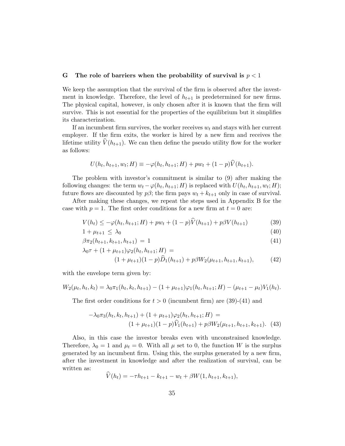#### G The role of barriers when the probability of survival is  $p < 1$

We keep the assumption that the survival of the firm is observed after the investment in knowledge. Therefore, the level of  $h_{t+1}$  is predetermined for new firms. The physical capital, however, is only chosen after it is known that the firm will survive. This is not essential for the properties of the equilibrium but it simplifies its characterization.

If an incumbent firm survives, the worker receives  $w_t$  and stays with her current employer. If the firm exits, the worker is hired by a new firm and receives the lifetime utility  $\hat{V}(h_{t+1})$ . We can then define the pseudo utility flow for the worker as follows:

$$
U(h_t, h_{t+1}, w_t; H) \equiv -\varphi(h_t, h_{t+1}; H) + pw_t + (1 - p)V(h_{t+1}).
$$

The problem with investor's commitment is similar to (9) after making the following changes: the term  $w_t - \varphi(h_t, h_{t+1}; H)$  is replaced with  $U(h_t, h_{t+1}, w_t; H)$ ; future flows are discounted by  $p\beta$ ; the firm pays  $w_t + k_{t+1}$  only in case of survival.

After making these changes, we repeat the steps used in Appendix B for the case with  $p = 1$ . The first order conditions for a new firm at  $t = 0$  are:

$$
V(h_t) \le -\varphi(h_t, h_{t+1}; H) + pw_t + (1 - p)\hat{V}(h_{t+1}) + p\beta V(h_{t+1})
$$
\n(39)

$$
1 + \mu_{t+1} \le \lambda_0 \tag{40}
$$

$$
\beta \pi_2(h_{t+1}, k_{t+1}, h_{t+1}) = 1 \tag{41}
$$

$$
\lambda_0 \tau + (1 + \mu_{t+1}) \varphi_2(h_t, h_{t+1}; H) =
$$
  

$$
(1 + \mu_{t+1})(1 - p)\widehat{D}_1(h_{t+1}) + p\beta W_2(\mu_{t+1}, h_{t+1}, k_{t+1}),
$$
 (42)

with the envelope term given by:

$$
W_2(\mu_t, h_t, k_t) = \lambda_0 \pi_1(h_t, k_t, h_{t+1}) - (1 + \mu_{t+1})\varphi_1(h_t, h_{t+1}; H) - (\mu_{t+1} - \mu_t) V_1(h_t).
$$

The first order conditions for  $t > 0$  (incumbent firm) are (39)-(41) and

$$
-\lambda_0 \pi_3(h_t, k_t, h_{t+1}) + (1 + \mu_{t+1})\varphi_2(h_t, h_{t+1}; H) =
$$
  

$$
(1 + \mu_{t+1})(1 - p)\widehat{V}_1(h_{t+1}) + p\beta W_2(\mu_{t+1}, h_{t+1}, k_{t+1}). \tag{43}
$$

Also, in this case the investor breaks even with unconstrained knowledge. Therefore,  $\lambda_0 = 1$  and  $\mu_t = 0$ . With all  $\mu$  set to 0, the function W is the surplus generated by an incumbent firm. Using this, the surplus generated by a new firm, after the investment in knowledge and after the realization of survival, can be written as:

$$
V(h_t) = -\tau h_{t+1} - k_{t+1} - w_t + \beta W(1, h_{t+1}, k_{t+1}),
$$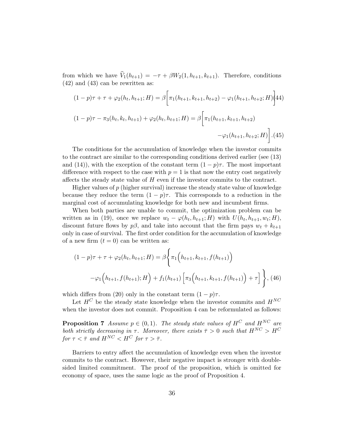from which we have  $\widehat{V}_1(h_{t+1}) = -\tau + \beta W_2(1, h_{t+1}, k_{t+1})$ . Therefore, conditions (42) and (43) can be rewritten as:

$$
(1-p)\tau + \tau + \varphi_2(h_t, h_{t+1}; H) = \beta \left[ \pi_1(h_{t+1}, k_{t+1}, h_{t+2}) - \varphi_1(h_{t+1}, h_{t+2}; H) \right]
$$
  

$$
(1-p)\tau - \pi_3(h_t, k_t, h_{t+1}) + \varphi_2(h_t, h_{t+1}; H) = \beta \left[ \pi_1(h_{t+1}, k_{t+1}, h_{t+2}) - \varphi_1(h_{t+1}, h_{t+2}; H) \right].
$$
  

$$
- \varphi_1(h_{t+1}, h_{t+2}; H) \left[ \frac{1}{2} \right].
$$
 (45)

The conditions for the accumulation of knowledge when the investor commits to the contract are similar to the corresponding conditions derived earlier (see (13) and (14)), with the exception of the constant term  $(1 - p)\tau$ . The most important difference with respect to the case with  $p = 1$  is that now the entry cost negatively affects the steady state value of  $H$  even if the investor commits to the contract.

Higher values of  $p$  (higher survival) increase the steady state value of knowledge because they reduce the term  $(1 - p)\tau$ . This corresponds to a reduction in the marginal cost of accumulating knowledge for both new and incumbent firms.

When both parties are unable to commit, the optimization problem can be written as in (19), once we replace  $w_t - \varphi(h_t, h_{t+1}; H)$  with  $U(h_t, h_{t+1}, w_t; H)$ , discount future flows by  $p\beta$ , and take into account that the firm pays  $w_t + k_{t+1}$ only in case of survival. The first order condition for the accumulation of knowledge of a new firm  $(t = 0)$  can be written as:

$$
(1-p)\tau + \tau + \varphi_2(h_t, h_{t+1}; H) = \beta \Biggl\{ \pi_1\Big(h_{t+1}, k_{t+1}, f(h_{t+1})\Big) -\varphi_1\Big(h_{t+1}, f(h_{t+1}); H\Big) + f_1(h_{t+1}) \Biggl[ \pi_3\Big(h_{t+1}, k_{t+1}, f(h_{t+1})\Big) + \tau \Biggr] \Biggr\}, (46)
$$

which differs from (20) only in the constant term  $(1 - p)\tau$ .

Let  $H^C$  be the steady state knowledge when the investor commits and  $H^{NC}$ when the investor does not commit. Proposition 4 can be reformulated as follows:

**Proposition 7** Assume  $p \in (0, 1)$ . The steady state values of  $H^C$  and  $H^{NC}$  are both strictly decreasing in  $\tau$ . Moreover, there exists  $\bar{\tau} > 0$  such that  $H^{NC} > H^C$ for  $\tau < \bar{\tau}$  and  $H^{NC} < H^C$  for  $\tau > \bar{\tau}$ .

Barriers to entry affect the accumulation of knowledge even when the investor commits to the contract. However, their negative impact is stronger with doublesided limited commitment. The proof of the proposition, which is omitted for economy of space, uses the same logic as the proof of Proposition 4.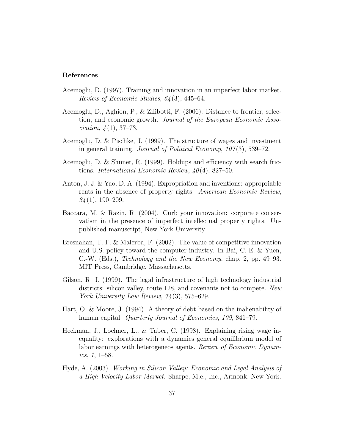#### References

- Acemoglu, D. (1997). Training and innovation in an imperfect labor market. Review of Economic Studies, 64 (3), 445–64.
- Acemoglu, D., Aghion, P., & Zilibotti, F. (2006). Distance to frontier, selection, and economic growth. Journal of the European Economic Asso*ciation*,  $\frac{1}{4}(1)$ , 37–73.
- Acemoglu, D. & Pischke, J. (1999). The structure of wages and investment in general training. Journal of Political Economy,  $107(3)$ , 539–72.
- Acemoglu, D. & Shimer, R. (1999). Holdups and efficiency with search frictions. International Economic Review,  $40(4)$ , 827–50.
- Anton, J. J. & Yao, D. A. (1994). Expropriation and inventions: appropriable rents in the absence of property rights. American Economic Review,  $84(1), 190-209.$
- Baccara, M. & Razin, R. (2004). Curb your innovation: corporate conservatism in the presence of imperfect intellectual property rights. Unpublished manuscript, New York University.
- Bresnahan, T. F. & Malerba, F. (2002). The value of competitive innovation and U.S. policy toward the computer industry. In Bai, C.-E. & Yuen, C.-W. (Eds.), Technology and the New Economy, chap. 2, pp. 49–93. MIT Press, Cambridge, Massachusetts.
- Gilson, R. J. (1999). The legal infrastructure of high technology industrial districts: silicon valley, route 128, and covenants not to compete. New York University Law Review,  $74(3)$ , 575–629.
- Hart, O. & Moore, J. (1994). A theory of debt based on the inalienability of human capital. *Quarterly Journal of Economics*, 109, 841–79.
- Heckman, J., Lochner, L., & Taber, C. (1998). Explaining rising wage inequality: explorations with a dynamics general equilibrium model of labor earnings with heterogeneos agents. Review of Economic Dynamics, 1, 1–58.
- Hyde, A. (2003). Working in Silicon Valley: Economic and Legal Analysis of a High-Velocity Labor Market. Sharpe, M.e., Inc., Armonk, New York.